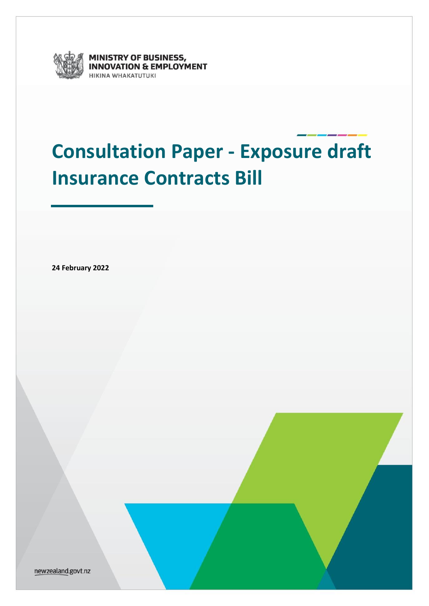

MINISTRY OF BUSINESS,<br>INNOVATION & EMPLOYMENT **IIKINA WHAKATUTUKI** 

# <span id="page-0-0"></span>**Consultation Paper - Exposure draft Insurance Contracts Bill**

**24 February 2022**

newzealand.govt.nz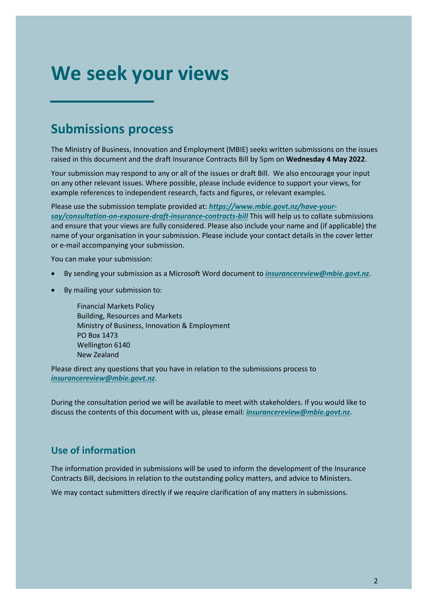## <span id="page-1-0"></span>**We seek your views**

### <span id="page-1-1"></span>**Submissions process**

The Ministry of Business, Innovation and Employment (MBIE) seeks written submissions on the issues raised in this document and the draft Insurance Contracts Bill by 5pm on **Wednesday 4 May 2022**.

Your submission may respond to any or all of the issues or draft Bill. We also encourage your input on any other relevant issues. Where possible, please include evidence to support your views, for example references to independent research, facts and figures, or relevant examples.

Please use the submission template provided at: *[https://www.mbie.govt.nz/have-your](https://www.mbie.govt.nz/have-your-say/consultation-on-exposure-draft-insurance-contracts-bill)[say/consultation-on-exposure-draft-insurance-contracts-bill](https://www.mbie.govt.nz/have-your-say/consultation-on-exposure-draft-insurance-contracts-bill)* This will help us to collate submissions and ensure that your views are fully considered. Please also include your name and (if applicable) the name of your organisation in your submission. Please include your contact details in the cover letter or e-mail accompanying your submission.

You can make your submission:

- By sending your submission as a Microsoft Word document to *[insurancereview@mbie.govt.nz](mailto:insurancereview@mbie.govt.nz)*.
- By mailing your submission to:

Financial Markets Policy Building, Resources and Markets Ministry of Business, Innovation & Employment PO Box 1473 Wellington 6140 New Zealand

Please direct any questions that you have in relation to the submissions process to *[insurancereview@mbie.govt.nz](mailto:faareview@mbie.govt.nz)*.

During the consultation period we will be available to meet with stakeholders. If you would like to discuss the contents of this document with us, please email: *[insurancereview@mbie.govt.nz](mailto:faareview@mbie.govt.nz)*.

#### **Use of information**

The information provided in submissions will be used to inform the development of the Insurance Contracts Bill, decisions in relation to the outstanding policy matters, and advice to Ministers.

We may contact submitters directly if we require clarification of any matters in submissions.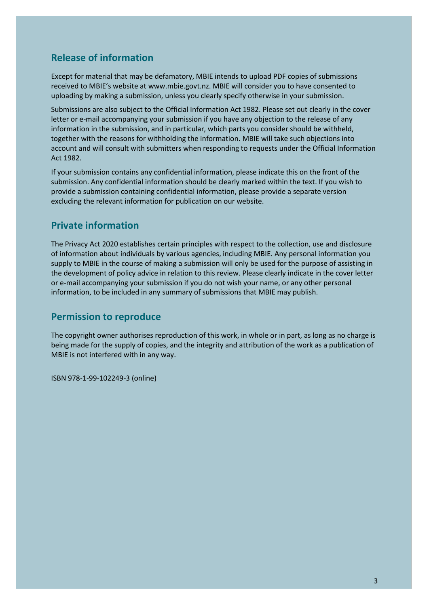#### **Release of information**

Except for material that may be defamatory, MBIE intends to upload PDF copies of submissions received to MBIE's website at [www.mbie.govt.nz.](http://www.mbie.govt.nz/) MBIE will consider you to have consented to uploading by making a submission, unless you clearly specify otherwise in your submission.

Submissions are also subject to the Official Information Act 1982. Please set out clearly in the cover letter or e-mail accompanying your submission if you have any objection to the release of any information in the submission, and in particular, which parts you consider should be withheld, together with the reasons for withholding the information. MBIE will take such objections into account and will consult with submitters when responding to requests under the Official Information Act 1982.

If your submission contains any confidential information, please indicate this on the front of the submission. Any confidential information should be clearly marked within the text. If you wish to provide a submission containing confidential information, please provide a separate version excluding the relevant information for publication on our website.

#### **Private information**

The Privacy Act 2020 establishes certain principles with respect to the collection, use and disclosure of information about individuals by various agencies, including MBIE. Any personal information you supply to MBIE in the course of making a submission will only be used for the purpose of assisting in the development of policy advice in relation to this review. Please clearly indicate in the cover letter or e-mail accompanying your submission if you do not wish your name, or any other personal information, to be included in any summary of submissions that MBIE may publish.

#### **Permission to reproduce**

The copyright owner authorises reproduction of this work, in whole or in part, as long as no charge is being made for the supply of copies, and the integrity and attribution of the work as a publication of MBIE is not interfered with in any way.

ISBN 978-1-99-102249-3 (online)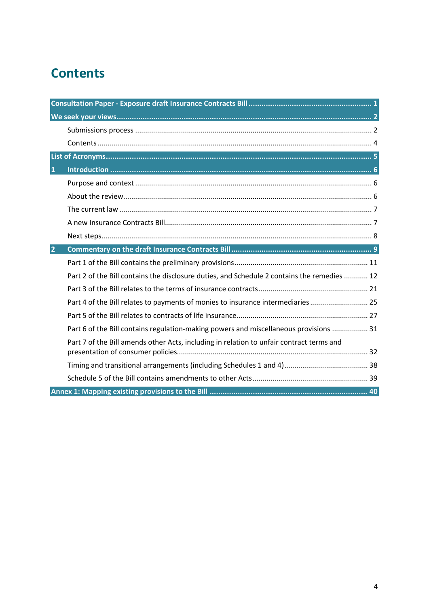## <span id="page-3-0"></span>**Contents**

| 1              |                                                                                             |  |
|----------------|---------------------------------------------------------------------------------------------|--|
|                |                                                                                             |  |
|                |                                                                                             |  |
|                |                                                                                             |  |
|                |                                                                                             |  |
|                |                                                                                             |  |
| $\overline{2}$ |                                                                                             |  |
|                |                                                                                             |  |
|                | Part 2 of the Bill contains the disclosure duties, and Schedule 2 contains the remedies  12 |  |
|                |                                                                                             |  |
|                | Part 4 of the Bill relates to payments of monies to insurance intermediaries 25             |  |
|                |                                                                                             |  |
|                | Part 6 of the Bill contains regulation-making powers and miscellaneous provisions  31       |  |
|                | Part 7 of the Bill amends other Acts, including in relation to unfair contract terms and    |  |
|                |                                                                                             |  |
|                |                                                                                             |  |
|                |                                                                                             |  |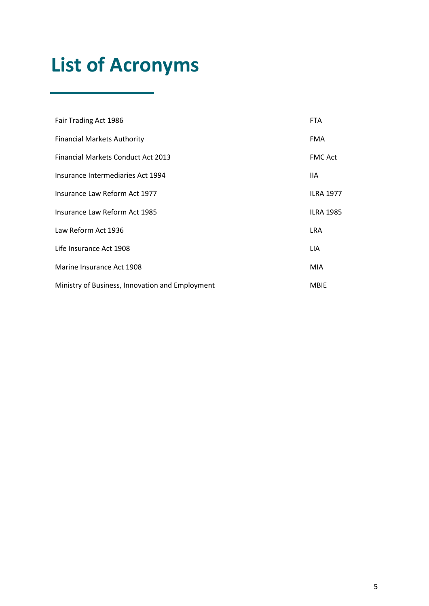## <span id="page-4-0"></span>**List of Acronyms**

| Fair Trading Act 1986                           | <b>FTA</b>       |
|-------------------------------------------------|------------------|
| <b>Financial Markets Authority</b>              | <b>FMA</b>       |
| <b>Financial Markets Conduct Act 2013</b>       | <b>FMC Act</b>   |
| Insurance Intermediaries Act 1994               | 11A              |
| Insurance Law Reform Act 1977                   | <b>ILRA 1977</b> |
| Insurance Law Reform Act 1985                   | <b>ILRA 1985</b> |
| Law Reform Act 1936                             | <b>LRA</b>       |
| Life Insurance Act 1908                         | LIA.             |
| Marine Insurance Act 1908                       | <b>MIA</b>       |
| Ministry of Business, Innovation and Employment | <b>MBIE</b>      |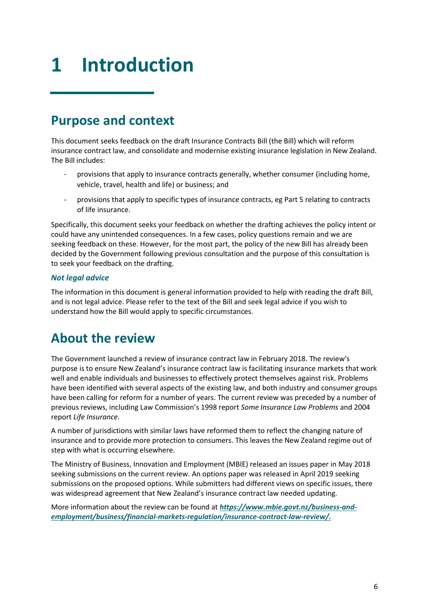## <span id="page-5-0"></span>**1 Introduction**

## <span id="page-5-1"></span>**Purpose and context**

This document seeks feedback on the draft Insurance Contracts Bill (the Bill) which will reform insurance contract law, and consolidate and modernise existing insurance legislation in New Zealand. The Bill includes:

- provisions that apply to insurance contracts generally, whether consumer (including home, vehicle, travel, health and life) or business; and
- provisions that apply to specific types of insurance contracts, eg Part 5 relating to contracts of life insurance.

Specifically, this document seeks your feedback on whether the drafting achieves the policy intent or could have any unintended consequences. In a few cases, policy questions remain and we are seeking feedback on these. However, for the most part, the policy of the new Bill has already been decided by the Government following previous consultation and the purpose of this consultation is to seek your feedback on the drafting.

#### *Not legal advice*

The information in this document is general information provided to help with reading the draft Bill, and is not legal advice. Please refer to the text of the Bill and seek legal advice if you wish to understand how the Bill would apply to specific circumstances.

## <span id="page-5-2"></span>**About the review**

The Government launched a review of insurance contract law in February 2018. The review's purpose is to ensure New Zealand's insurance contract law is facilitating insurance markets that work well and enable individuals and businesses to effectively protect themselves against risk. Problems have been identified with several aspects of the existing law, and both industry and consumer groups have been calling for reform for a number of years. The current review was preceded by a number of previous reviews, including Law Commission's 1998 report *Some Insurance Law Problems* and 2004 report *Life Insurance.* 

A number of jurisdictions with similar laws have reformed them to reflect the changing nature of insurance and to provide more protection to consumers. This leaves the New Zealand regime out of step with what is occurring elsewhere.

The Ministry of Business, Innovation and Employment (MBIE) released an issues paper in May 2018 seeking submissions on the current review. An options paper was released in April 2019 seeking submissions on the proposed options. While submitters had different views on specific issues, there was widespread agreement that New Zealand's insurance contract law needed updating.

More information about the review can be found at *[https://www.mbie.govt.nz/business-and](https://www.mbie.govt.nz/business-and-employment/business/financial-markets-regulation/insurance-contract-law-review/)[employment/business/financial-markets-regulation/insurance-contract-law-review/.](https://www.mbie.govt.nz/business-and-employment/business/financial-markets-regulation/insurance-contract-law-review/)*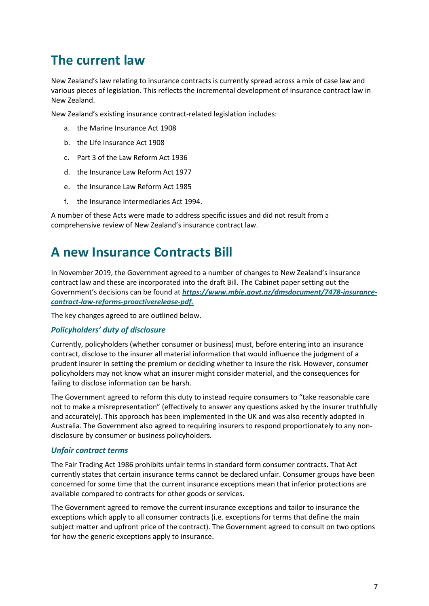## <span id="page-6-0"></span>**The current law**

New Zealand's law relating to insurance contracts is currently spread across a mix of case law and various pieces of legislation. This reflects the incremental development of insurance contract law in New Zealand.

New Zealand's existing insurance contract-related legislation includes:

- a. the Marine Insurance Act 1908
- b. the Life Insurance Act 1908
- c. Part 3 of the Law Reform Act 1936
- d. the Insurance Law Reform Act 1977
- e. the Insurance Law Reform Act 1985
- f. the Insurance Intermediaries Act 1994.

A number of these Acts were made to address specific issues and did not result from a comprehensive review of New Zealand's insurance contract law.

### <span id="page-6-1"></span>**A new Insurance Contracts Bill**

In November 2019, the Government agreed to a number of changes to New Zealand's insurance contract law and these are incorporated into the draft Bill. The Cabinet paper setting out the Government's decisions can be found at *[https://www.mbie.govt.nz/dmsdocument/7478-insurance](https://www.mbie.govt.nz/dmsdocument/7478-insurance-contract-law-reforms-proactiverelease-pdf)[contract-law-reforms-proactiverelease-pdf.](https://www.mbie.govt.nz/dmsdocument/7478-insurance-contract-law-reforms-proactiverelease-pdf)*

The key changes agreed to are outlined below.

#### *Policyholders' duty of disclosure*

Currently, policyholders (whether consumer or business) must, before entering into an insurance contract, disclose to the insurer all material information that would influence the judgment of a prudent insurer in setting the premium or deciding whether to insure the risk. However, consumer policyholders may not know what an insurer might consider material, and the consequences for failing to disclose information can be harsh.

The Government agreed to reform this duty to instead require consumers to "take reasonable care not to make a misrepresentation" (effectively to answer any questions asked by the insurer truthfully and accurately). This approach has been implemented in the UK and was also recently adopted in Australia. The Government also agreed to requiring insurers to respond proportionately to any nondisclosure by consumer or business policyholders.

#### *Unfair contract terms*

The Fair Trading Act 1986 prohibits unfair terms in standard form consumer contracts. That Act currently states that certain insurance terms cannot be declared unfair. Consumer groups have been concerned for some time that the current insurance exceptions mean that inferior protections are available compared to contracts for other goods or services.

The Government agreed to remove the current insurance exceptions and tailor to insurance the exceptions which apply to all consumer contracts (i.e. exceptions for terms that define the main subject matter and upfront price of the contract). The Government agreed to consult on two options for how the generic exceptions apply to insurance.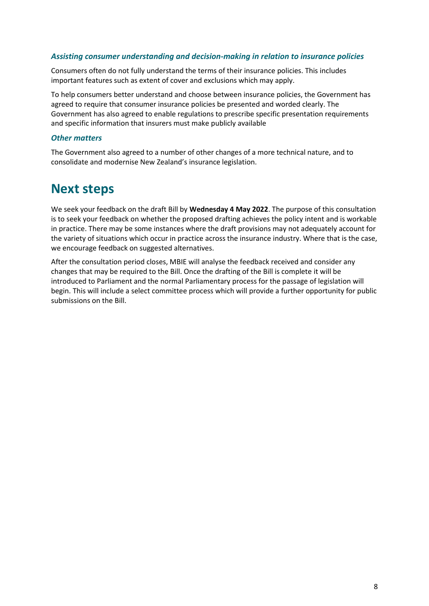#### *Assisting consumer understanding and decision-making in relation to insurance policies*

Consumers often do not fully understand the terms of their insurance policies. This includes important features such as extent of cover and exclusions which may apply.

To help consumers better understand and choose between insurance policies, the Government has agreed to require that consumer insurance policies be presented and worded clearly. The Government has also agreed to enable regulations to prescribe specific presentation requirements and specific information that insurers must make publicly available

#### *Other matters*

The Government also agreed to a number of other changes of a more technical nature, and to consolidate and modernise New Zealand's insurance legislation.

### <span id="page-7-0"></span>**Next steps**

We seek your feedback on the draft Bill by **Wednesday 4 May 2022**. The purpose of this consultation is to seek your feedback on whether the proposed drafting achieves the policy intent and is workable in practice. There may be some instances where the draft provisions may not adequately account for the variety of situations which occur in practice across the insurance industry. Where that is the case, we encourage feedback on suggested alternatives.

After the consultation period closes, MBIE will analyse the feedback received and consider any changes that may be required to the Bill. Once the drafting of the Bill is complete it will be introduced to Parliament and the normal Parliamentary process for the passage of legislation will begin. This will include a select committee process which will provide a further opportunity for public submissions on the Bill.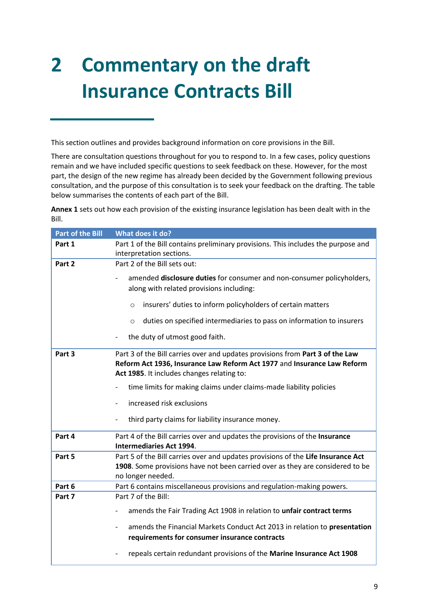# <span id="page-8-0"></span>**2 Commentary on the draft Insurance Contracts Bill**

This section outlines and provides background information on core provisions in the Bill.

There are consultation questions throughout for you to respond to. In a few cases, policy questions remain and we have included specific questions to seek feedback on these. However, for the most part, the design of the new regime has already been decided by the Government following previous consultation, and the purpose of this consultation is to seek your feedback on the drafting. The table below summarises the contents of each part of the Bill.

**Annex 1** sets out how each provision of the existing insurance legislation has been dealt with in the Bill.

| <b>Part of the Bill</b> | What does it do?                                                                                                                                                                                       |
|-------------------------|--------------------------------------------------------------------------------------------------------------------------------------------------------------------------------------------------------|
| Part 1                  | Part 1 of the Bill contains preliminary provisions. This includes the purpose and<br>interpretation sections.                                                                                          |
| Part 2                  | Part 2 of the Bill sets out:                                                                                                                                                                           |
|                         | amended disclosure duties for consumer and non-consumer policyholders,<br>along with related provisions including:                                                                                     |
|                         | insurers' duties to inform policyholders of certain matters<br>$\circ$                                                                                                                                 |
|                         | duties on specified intermediaries to pass on information to insurers<br>$\circ$                                                                                                                       |
|                         | the duty of utmost good faith.                                                                                                                                                                         |
| Part 3                  | Part 3 of the Bill carries over and updates provisions from Part 3 of the Law<br>Reform Act 1936, Insurance Law Reform Act 1977 and Insurance Law Reform<br>Act 1985. It includes changes relating to: |
|                         | time limits for making claims under claims-made liability policies                                                                                                                                     |
|                         | increased risk exclusions                                                                                                                                                                              |
|                         | third party claims for liability insurance money.                                                                                                                                                      |
| Part 4                  | Part 4 of the Bill carries over and updates the provisions of the Insurance<br><b>Intermediaries Act 1994.</b>                                                                                         |
| Part 5                  | Part 5 of the Bill carries over and updates provisions of the Life Insurance Act<br>1908. Some provisions have not been carried over as they are considered to be<br>no longer needed.                 |
| Part 6                  | Part 6 contains miscellaneous provisions and regulation-making powers.                                                                                                                                 |
| Part 7                  | Part 7 of the Bill:                                                                                                                                                                                    |
|                         | amends the Fair Trading Act 1908 in relation to unfair contract terms                                                                                                                                  |
|                         | amends the Financial Markets Conduct Act 2013 in relation to presentation<br>requirements for consumer insurance contracts                                                                             |
|                         | repeals certain redundant provisions of the Marine Insurance Act 1908                                                                                                                                  |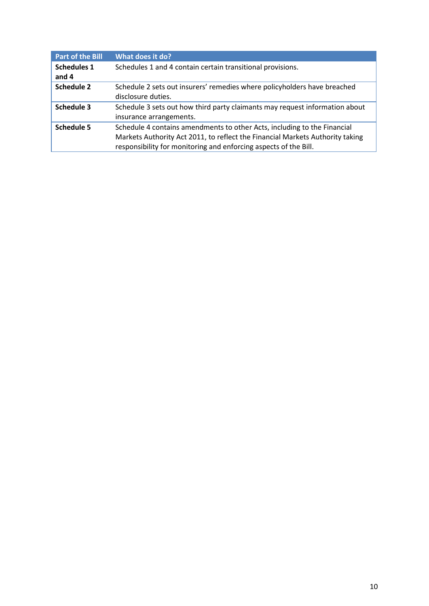| <b>Part of the Bill</b>     | What does it do?                                                                                                                                                                                                              |
|-----------------------------|-------------------------------------------------------------------------------------------------------------------------------------------------------------------------------------------------------------------------------|
| <b>Schedules 1</b><br>and 4 | Schedules 1 and 4 contain certain transitional provisions.                                                                                                                                                                    |
| <b>Schedule 2</b>           | Schedule 2 sets out insurers' remedies where policyholders have breached<br>disclosure duties.                                                                                                                                |
| Schedule 3                  | Schedule 3 sets out how third party claimants may request information about<br>insurance arrangements.                                                                                                                        |
| <b>Schedule 5</b>           | Schedule 4 contains amendments to other Acts, including to the Financial<br>Markets Authority Act 2011, to reflect the Financial Markets Authority taking<br>responsibility for monitoring and enforcing aspects of the Bill. |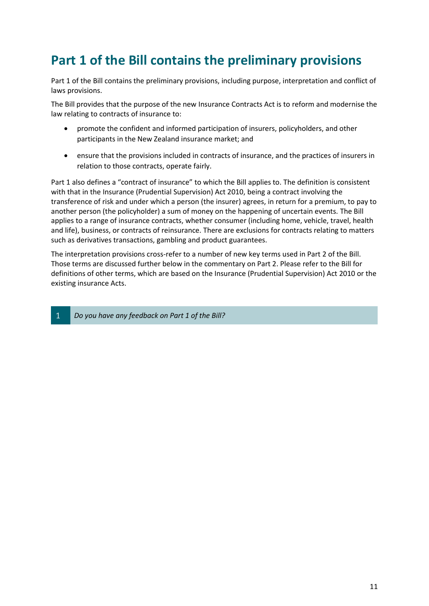## <span id="page-10-0"></span>**Part 1 of the Bill contains the preliminary provisions**

Part 1 of the Bill contains the preliminary provisions, including purpose, interpretation and conflict of laws provisions.

The Bill provides that the purpose of the new Insurance Contracts Act is to reform and modernise the law relating to contracts of insurance to:

- promote the confident and informed participation of insurers, policyholders, and other participants in the New Zealand insurance market; and
- ensure that the provisions included in contracts of insurance, and the practices of insurers in relation to those contracts, operate fairly.

Part 1 also defines a "contract of insurance" to which the Bill applies to. The definition is consistent with that in the Insurance (Prudential Supervision) Act 2010, being a contract involving the transference of risk and under which a person (the insurer) agrees, in return for a premium, to pay to another person (the policyholder) a sum of money on the happening of uncertain events. The Bill applies to a range of insurance contracts, whether consumer (including home, vehicle, travel, health and life), business, or contracts of reinsurance. There are exclusions for contracts relating to matters such as derivatives transactions, gambling and product guarantees.

The interpretation provisions cross-refer to a number of new key terms used in Part 2 of the Bill. Those terms are discussed further below in the commentary on Part 2. Please refer to the Bill for definitions of other terms, which are based on the Insurance (Prudential Supervision) Act 2010 or the existing insurance Acts.

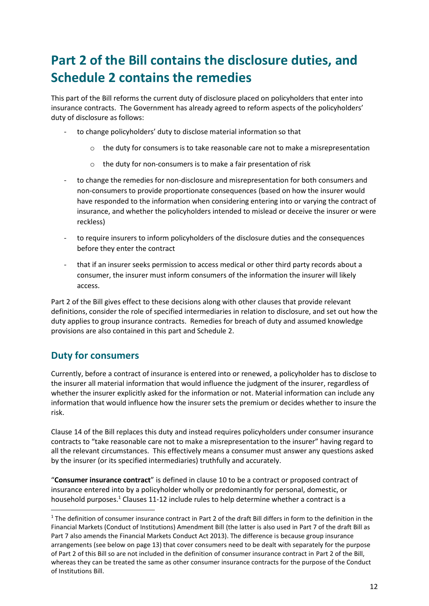## <span id="page-11-0"></span>**Part 2 of the Bill contains the disclosure duties, and Schedule 2 contains the remedies**

This part of the Bill reforms the current duty of disclosure placed on policyholders that enter into insurance contracts. The Government has already agreed to reform aspects of the policyholders' duty of disclosure as follows:

- to change policyholders' duty to disclose material information so that
	- $\circ$  the duty for consumers is to take reasonable care not to make a misrepresentation
	- o the duty for non-consumers is to make a fair presentation of risk
- to change the remedies for non-disclosure and misrepresentation for both consumers and non-consumers to provide proportionate consequences (based on how the insurer would have responded to the information when considering entering into or varying the contract of insurance, and whether the policyholders intended to mislead or deceive the insurer or were reckless)
- to require insurers to inform policyholders of the disclosure duties and the consequences before they enter the contract
- that if an insurer seeks permission to access medical or other third party records about a consumer, the insurer must inform consumers of the information the insurer will likely access.

Part 2 of the Bill gives effect to these decisions along with other clauses that provide relevant definitions, consider the role of specified intermediaries in relation to disclosure, and set out how the duty applies to group insurance contracts. Remedies for breach of duty and assumed knowledge provisions are also contained in this part and Schedule 2.

#### **Duty for consumers**

Currently, before a contract of insurance is entered into or renewed, a policyholder has to disclose to the insurer all material information that would influence the judgment of the insurer, regardless of whether the insurer explicitly asked for the information or not. Material information can include any information that would influence how the insurer sets the premium or decides whether to insure the risk.

Clause 14 of the Bill replaces this duty and instead requires policyholders under consumer insurance contracts to "take reasonable care not to make a misrepresentation to the insurer" having regard to all the relevant circumstances. This effectively means a consumer must answer any questions asked by the insurer (or its specified intermediaries) truthfully and accurately.

"**Consumer insurance contract**" is defined in clause 10 to be a contract or proposed contract of insurance entered into by a policyholder wholly or predominantly for personal, domestic, or household purposes. $1$  Clauses 11-12 include rules to help determine whether a contract is a

 $1$  The definition of consumer insurance contract in Part 2 of the draft Bill differs in form to the definition in the Financial Markets (Conduct of Institutions) Amendment Bill (the latter is also used in Part 7 of the draft Bill as Part 7 also amends the Financial Markets Conduct Act 2013). The difference is because group insurance arrangements (see below on page 13) that cover consumers need to be dealt with separately for the purpose of Part 2 of this Bill so are not included in the definition of consumer insurance contract in Part 2 of the Bill, whereas they can be treated the same as other consumer insurance contracts for the purpose of the Conduct of Institutions Bill.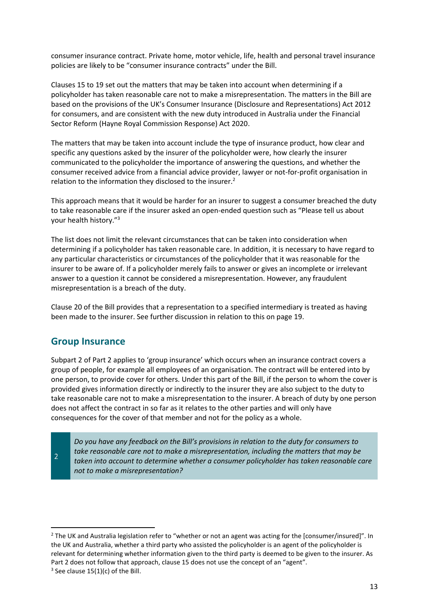consumer insurance contract. Private home, motor vehicle, life, health and personal travel insurance policies are likely to be "consumer insurance contracts" under the Bill.

Clauses 15 to 19 set out the matters that may be taken into account when determining if a policyholder has taken reasonable care not to make a misrepresentation. The matters in the Bill are based on the provisions of the UK's Consumer Insurance (Disclosure and Representations) Act 2012 for consumers, and are consistent with the new duty introduced in Australia under the Financial Sector Reform (Hayne Royal Commission Response) Act 2020.

The matters that may be taken into account include the type of insurance product, how clear and specific any questions asked by the insurer of the policyholder were, how clearly the insurer communicated to the policyholder the importance of answering the questions, and whether the consumer received advice from a financial advice provider, lawyer or not-for-profit organisation in relation to the information they disclosed to the insurer.<sup>2</sup>

This approach means that it would be harder for an insurer to suggest a consumer breached the duty to take reasonable care if the insurer asked an open-ended question such as "Please tell us about your health history."<sup>3</sup>

The list does not limit the relevant circumstances that can be taken into consideration when determining if a policyholder has taken reasonable care. In addition, it is necessary to have regard to any particular characteristics or circumstances of the policyholder that it was reasonable for the insurer to be aware of. If a policyholder merely fails to answer or gives an incomplete or irrelevant answer to a question it cannot be considered a misrepresentation. However, any fraudulent misrepresentation is a breach of the duty.

Clause 20 of the Bill provides that a representation to a specified intermediary is treated as having been made to the insurer. See further discussion in relation to this on page [19.](#page-18-0)

#### **Group Insurance**

Subpart 2 of Part 2 applies to 'group insurance' which occurs when an insurance contract covers a group of people, for example all employees of an organisation. The contract will be entered into by one person, to provide cover for others. Under this part of the Bill, if the person to whom the cover is provided gives information directly or indirectly to the insurer they are also subject to the duty to take reasonable care not to make a misrepresentation to the insurer. A breach of duty by one person does not affect the contract in so far as it relates to the other parties and will only have consequences for the cover of that member and not for the policy as a whole.

 $\overline{2}$ 

*Do you have any feedback on the Bill's provisions in relation to the duty for consumers to take reasonable care not to make a misrepresentation, including the matters that may be taken into account to determine whether a consumer policyholder has taken reasonable care not to make a misrepresentation?*

<sup>&</sup>lt;sup>2</sup> The UK and Australia legislation refer to "whether or not an agent was acting for the [consumer/insured]". In the UK and Australia, whether a third party who assisted the policyholder is an agent of the policyholder is relevant for determining whether information given to the third party is deemed to be given to the insurer. As Part 2 does not follow that approach, clause 15 does not use the concept of an "agent".

 $3$  See clause 15(1)(c) of the Bill.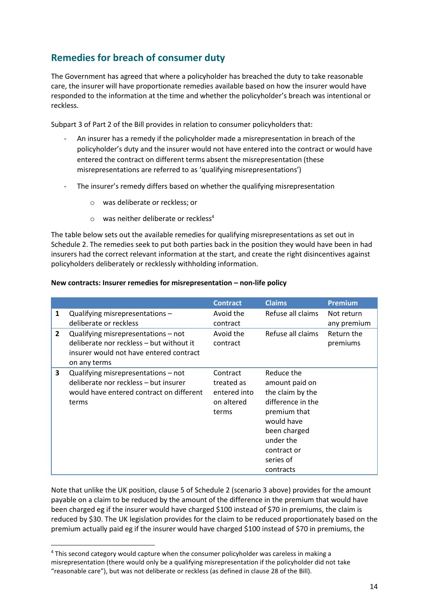### **Remedies for breach of consumer duty**

The Government has agreed that where a policyholder has breached the duty to take reasonable care, the insurer will have proportionate remedies available based on how the insurer would have responded to the information at the time and whether the policyholder's breach was intentional or reckless.

Subpart 3 of Part 2 of the Bill provides in relation to consumer policyholders that:

- An insurer has a remedy if the policyholder made a misrepresentation in breach of the policyholder's duty and the insurer would not have entered into the contract or would have entered the contract on different terms absent the misrepresentation (these misrepresentations are referred to as 'qualifying misrepresentations')
- The insurer's remedy differs based on whether the qualifying misrepresentation
	- o was deliberate or reckless; or
	- $\circ$  was neither deliberate or reckless<sup>4</sup>

The table below sets out the available remedies for qualifying misrepresentations as set out in Schedule 2. The remedies seek to put both parties back in the position they would have been in had insurers had the correct relevant information at the start, and create the right disincentives against policyholders deliberately or recklessly withholding information.

|              |                                                                                                                                            | <b>Contract</b>                                               | <b>Claims</b>                                                                                                                                                             | <b>Premium</b>                        |
|--------------|--------------------------------------------------------------------------------------------------------------------------------------------|---------------------------------------------------------------|---------------------------------------------------------------------------------------------------------------------------------------------------------------------------|---------------------------------------|
| 1            | Qualifying misrepresentations -<br>deliberate or reckless                                                                                  | Avoid the<br>contract                                         | Refuse all claims                                                                                                                                                         | Not return                            |
| $\mathbf{2}$ | Qualifying misrepresentations - not<br>deliberate nor reckless - but without it<br>insurer would not have entered contract<br>on any terms | Avoid the<br>contract                                         | Refuse all claims                                                                                                                                                         | any premium<br>Return the<br>premiums |
| 3            | Qualifying misrepresentations - not<br>deliberate nor reckless - but insurer<br>would have entered contract on different<br>terms          | Contract<br>treated as<br>entered into<br>on altered<br>terms | Reduce the<br>amount paid on<br>the claim by the<br>difference in the<br>premium that<br>would have<br>been charged<br>under the<br>contract or<br>series of<br>contracts |                                       |

#### **New contracts: Insurer remedies for misrepresentation – non-life policy**

Note that unlike the UK position, clause 5 of Schedule 2 (scenario 3 above) provides for the amount payable on a claim to be reduced by the amount of the difference in the premium that would have been charged eg if the insurer would have charged \$100 instead of \$70 in premiums, the claim is reduced by \$30. The UK legislation provides for the claim to be reduced proportionately based on the premium actually paid eg if the insurer would have charged \$100 instead of \$70 in premiums, the

<sup>4</sup> This second category would capture when the consumer policyholder was careless in making a misrepresentation (there would only be a qualifying misrepresentation if the policyholder did not take "reasonable care"), but was not deliberate or reckless (as defined in clause 28 of the Bill).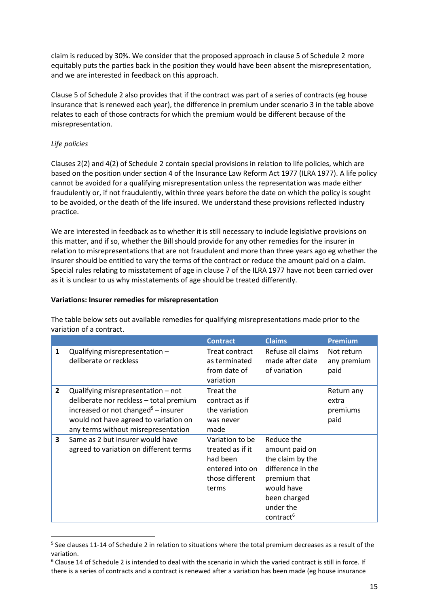claim is reduced by 30%. We consider that the proposed approach in clause 5 of Schedule 2 more equitably puts the parties back in the position they would have been absent the misrepresentation, and we are interested in feedback on this approach.

Clause 5 of Schedule 2 also provides that if the contract was part of a series of contracts (eg house insurance that is renewed each year), the difference in premium under scenario 3 in the table above relates to each of those contracts for which the premium would be different because of the misrepresentation.

#### *Life policies*

Clauses 2(2) and 4(2) of Schedule 2 contain special provisions in relation to life policies, which are based on the position under section 4 of the Insurance Law Reform Act 1977 (ILRA 1977). A life policy cannot be avoided for a qualifying misrepresentation unless the representation was made either fraudulently or, if not fraudulently, within three years before the date on which the policy is sought to be avoided, or the death of the life insured. We understand these provisions reflected industry practice.

We are interested in feedback as to whether it is still necessary to include legislative provisions on this matter, and if so, whether the Bill should provide for any other remedies for the insurer in relation to misrepresentations that are not fraudulent and more than three years ago eg whether the insurer should be entitled to vary the terms of the contract or reduce the amount paid on a claim. Special rules relating to misstatement of age in clause 7 of the ILRA 1977 have not been carried over as it is unclear to us why misstatements of age should be treated differently.

#### **Variations: Insurer remedies for misrepresentation**

|                |                                                                                                                                                                                                                  | <b>Contract</b>                                                                                | <b>Claims</b>                                                                                                                                             | <b>Premium</b>                          |
|----------------|------------------------------------------------------------------------------------------------------------------------------------------------------------------------------------------------------------------|------------------------------------------------------------------------------------------------|-----------------------------------------------------------------------------------------------------------------------------------------------------------|-----------------------------------------|
| 1              | Qualifying misrepresentation -<br>deliberate or reckless                                                                                                                                                         | Treat contract<br>as terminated<br>from date of<br>variation                                   | Refuse all claims<br>made after date<br>of variation                                                                                                      | Not return<br>any premium<br>paid       |
| $\overline{2}$ | Qualifying misrepresentation - not<br>deliberate nor reckless - total premium<br>increased or not changed <sup>5</sup> – insurer<br>would not have agreed to variation on<br>any terms without misrepresentation | Treat the<br>contract as if<br>the variation<br>was never<br>made                              |                                                                                                                                                           | Return any<br>extra<br>premiums<br>paid |
| 3              | Same as 2 but insurer would have<br>agreed to variation on different terms                                                                                                                                       | Variation to be<br>treated as if it<br>had been<br>entered into on<br>those different<br>terms | Reduce the<br>amount paid on<br>the claim by the<br>difference in the<br>premium that<br>would have<br>been charged<br>under the<br>contract <sup>6</sup> |                                         |

The table below sets out available remedies for qualifying misrepresentations made prior to the variation of a contract.

<sup>&</sup>lt;sup>5</sup> See clauses 11-14 of Schedule 2 in relation to situations where the total premium decreases as a result of the variation.

<sup>6</sup> Clause 14 of Schedule 2 is intended to deal with the scenario in which the varied contract is still in force. If there is a series of contracts and a contract is renewed after a variation has been made (eg house insurance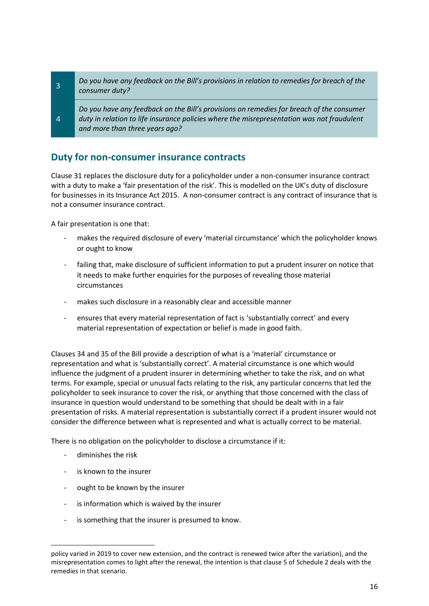*Do you have any feedback on the Bill's provisions in relation to remedies for breach of the*   $\overline{3}$ *consumer duty?*

*Do you have any feedback on the Bill's provisions on remedies for breach of the consumer duty in relation to life insurance policies where the misrepresentation was not fraudulent and more than three years ago?* 

#### **Duty for non-consumer insurance contracts**

Clause 31 replaces the disclosure duty for a policyholder under a non-consumer insurance contract with a duty to make a 'fair presentation of the risk'. This is modelled on the UK's duty of disclosure for businesses in its Insurance Act 2015. A non-consumer contract is any contract of insurance that is not a consumer insurance contract.

A fair presentation is one that:

 $\overline{4}$ 

- makes the required disclosure of every 'material circumstance' which the policyholder knows or ought to know
- failing that, make disclosure of sufficient information to put a prudent insurer on notice that it needs to make further enquiries for the purposes of revealing those material circumstances
- makes such disclosure in a reasonably clear and accessible manner
- ensures that every material representation of fact is 'substantially correct' and every material representation of expectation or belief is made in good faith.

Clauses 34 and 35 of the Bill provide a description of what is a 'material' circumstance or representation and what is 'substantially correct'. A material circumstance is one which would influence the judgment of a prudent insurer in determining whether to take the risk, and on what terms. For example, special or unusual facts relating to the risk, any particular concerns that led the policyholder to seek insurance to cover the risk, or anything that those concerned with the class of insurance in question would understand to be something that should be dealt with in a fair presentation of risks. A material representation is substantially correct if a prudent insurer would not consider the difference between what is represented and what is actually correct to be material.

There is no obligation on the policyholder to disclose a circumstance if it:

- diminishes the risk
- is known to the insurer
- ought to be known by the insurer
- is information which is waived by the insurer
- is something that the insurer is presumed to know.

policy varied in 2019 to cover new extension, and the contract is renewed twice after the variation), and the misrepresentation comes to light after the renewal, the intention is that clause 5 of Schedule 2 deals with the remedies in that scenario.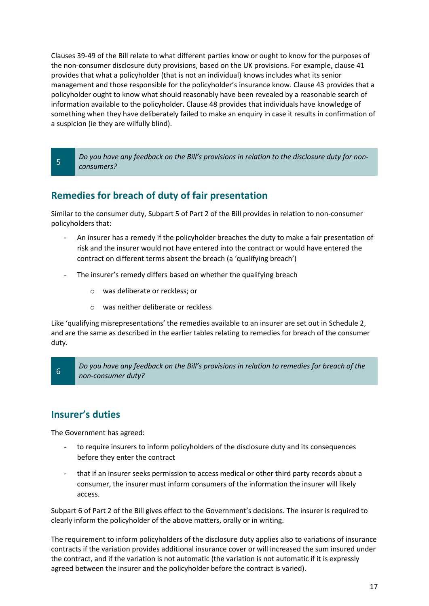Clauses 39-49 of the Bill relate to what different parties know or ought to know for the purposes of the non-consumer disclosure duty provisions, based on the UK provisions. For example, clause 41 provides that what a policyholder (that is not an individual) knows includes what its senior management and those responsible for the policyholder's insurance know. Clause 43 provides that a policyholder ought to know what should reasonably have been revealed by a reasonable search of information available to the policyholder. Clause 48 provides that individuals have knowledge of something when they have deliberately failed to make an enquiry in case it results in confirmation of a suspicion (ie they are wilfully blind).

*Do you have any feedback on the Bill's provisions in relation to the disclosure duty for nonconsumers?* 

#### **Remedies for breach of duty of fair presentation**

Similar to the consumer duty, Subpart 5 of Part 2 of the Bill provides in relation to non-consumer policyholders that:

- An insurer has a remedy if the policyholder breaches the duty to make a fair presentation of risk and the insurer would not have entered into the contract or would have entered the contract on different terms absent the breach (a 'qualifying breach')
- The insurer's remedy differs based on whether the qualifying breach
	- o was deliberate or reckless; or
	- o was neither deliberate or reckless

Like 'qualifying misrepresentations' the remedies available to an insurer are set out in Schedule 2, and are the same as described in the earlier tables relating to remedies for breach of the consumer duty.

*Do you have any feedback on the Bill's provisions in relation to remedies for breach of the non-consumer duty?*

#### **Insurer's duties**

 $6\overline{6}$ 

 $\overline{5}$ 

The Government has agreed:

- to require insurers to inform policyholders of the disclosure duty and its consequences before they enter the contract
- that if an insurer seeks permission to access medical or other third party records about a consumer, the insurer must inform consumers of the information the insurer will likely access.

Subpart 6 of Part 2 of the Bill gives effect to the Government's decisions. The insurer is required to clearly inform the policyholder of the above matters, orally or in writing.

The requirement to inform policyholders of the disclosure duty applies also to variations of insurance contracts if the variation provides additional insurance cover or will increased the sum insured under the contract, and if the variation is not automatic (the variation is not automatic if it is expressly agreed between the insurer and the policyholder before the contract is varied).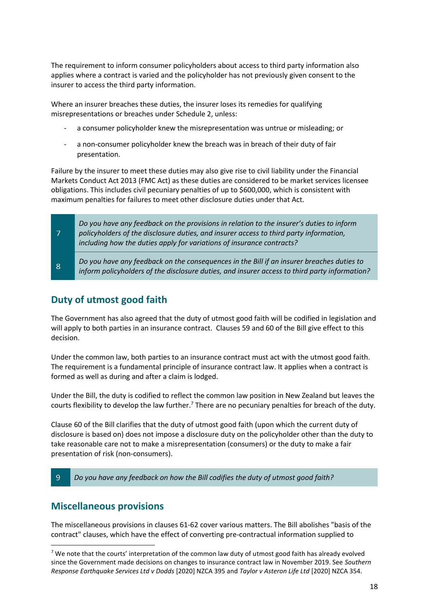The requirement to inform consumer policyholders about access to third party information also applies where a contract is varied and the policyholder has not previously given consent to the insurer to access the third party information.

Where an insurer breaches these duties, the insurer loses its remedies for qualifying misrepresentations or breaches under Schedule 2, unless:

- a consumer policyholder knew the misrepresentation was untrue or misleading; or
- a non-consumer policyholder knew the breach was in breach of their duty of fair presentation.

Failure by the insurer to meet these duties may also give rise to civil liability under the Financial Markets Conduct Act 2013 (FMC Act) as these duties are considered to be market services licensee obligations. This includes civil pecuniary penalties of up to \$600,000, which is consistent with maximum penalties for failures to meet other disclosure duties under that Act.

| $\mathcal{T}$ | Do you have any feedback on the provisions in relation to the insurer's duties to inform<br>policyholders of the disclosure duties, and insurer access to third party information,<br>including how the duties apply for variations of insurance contracts? |
|---------------|-------------------------------------------------------------------------------------------------------------------------------------------------------------------------------------------------------------------------------------------------------------|
| <b>8</b>      | Do you have any feedback on the consequences in the Bill if an insurer breaches duties to<br>inform policyholders of the disclosure duties, and insurer access to third party information?                                                                  |

#### **Duty of utmost good faith**

The Government has also agreed that the duty of utmost good faith will be codified in legislation and will apply to both parties in an insurance contract. Clauses 59 and 60 of the Bill give effect to this decision.

Under the common law, both parties to an insurance contract must act with the utmost good faith. The requirement is a fundamental principle of insurance contract law. It applies when a contract is formed as well as during and after a claim is lodged.

Under the Bill, the duty is codified to reflect the common law position in New Zealand but leaves the courts flexibility to develop the law further.<sup>7</sup> There are no pecuniary penalties for breach of the duty.

Clause 60 of the Bill clarifies that the duty of utmost good faith (upon which the current duty of disclosure is based on) does not impose a disclosure duty on the policyholder other than the duty to take reasonable care not to make a misrepresentation (consumers) or the duty to make a fair presentation of risk (non-consumers).

#### $\overline{q}$ *Do you have any feedback on how the Bill codifies the duty of utmost good faith?*

#### **Miscellaneous provisions**

The miscellaneous provisions in clauses 61-62 cover various matters. The Bill abolishes "basis of the contract" clauses, which have the effect of converting pre-contractual information supplied to

<sup>&</sup>lt;sup>7</sup> We note that the courts' interpretation of the common law duty of utmost good faith has already evolved since the Government made decisions on changes to insurance contract law in November 2019. See *Southern Response Earthquake Services Ltd v Dodds* [2020] NZCA 395 and *Taylor v Asteron Life Ltd* [2020] NZCA 354.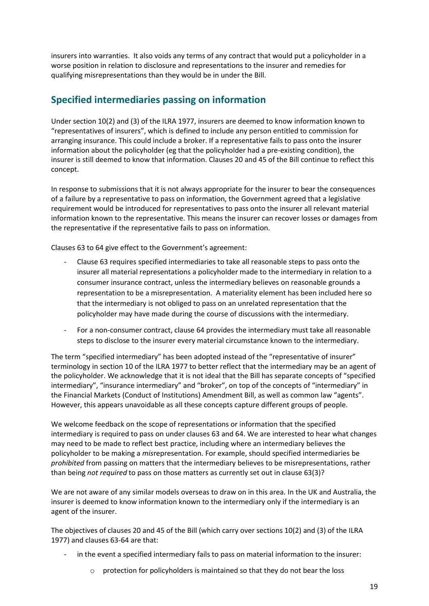insurers into warranties. It also voids any terms of any contract that would put a policyholder in a worse position in relation to disclosure and representations to the insurer and remedies for qualifying misrepresentations than they would be in under the Bill.

#### <span id="page-18-0"></span>**Specified intermediaries passing on information**

Under section 10(2) and (3) of the ILRA 1977, insurers are deemed to know information known to "representatives of insurers", which is defined to include any person entitled to commission for arranging insurance. This could include a broker. If a representative fails to pass onto the insurer information about the policyholder (eg that the policyholder had a pre-existing condition), the insurer is still deemed to know that information. Clauses 20 and 45 of the Bill continue to reflect this concept.

In response to submissions that it is not always appropriate for the insurer to bear the consequences of a failure by a representative to pass on information, the Government agreed that a legislative requirement would be introduced for representatives to pass onto the insurer all relevant material information known to the representative. This means the insurer can recover losses or damages from the representative if the representative fails to pass on information.

Clauses 63 to 64 give effect to the Government's agreement:

- Clause 63 requires specified intermediaries to take all reasonable steps to pass onto the insurer all material representations a policyholder made to the intermediary in relation to a consumer insurance contract, unless the intermediary believes on reasonable grounds a representation to be a misrepresentation. A materiality element has been included here so that the intermediary is not obliged to pass on an unrelated representation that the policyholder may have made during the course of discussions with the intermediary.
- For a non-consumer contract, clause 64 provides the intermediary must take all reasonable steps to disclose to the insurer every material circumstance known to the intermediary.

The term "specified intermediary" has been adopted instead of the "representative of insurer" terminology in section 10 of the ILRA 1977 to better reflect that the intermediary may be an agent of the policyholder. We acknowledge that it is not ideal that the Bill has separate concepts of "specified intermediary", "insurance intermediary" and "broker", on top of the concepts of "intermediary" in the Financial Markets (Conduct of Institutions) Amendment Bill, as well as common law "agents". However, this appears unavoidable as all these concepts capture different groups of people.

We welcome feedback on the scope of representations or information that the specified intermediary is required to pass on under clauses 63 and 64. We are interested to hear what changes may need to be made to reflect best practice, including where an intermediary believes the policyholder to be making a *mis*representation. For example, should specified intermediaries be *prohibited* from passing on matters that the intermediary believes to be misrepresentations, rather than being *not required* to pass on those matters as currently set out in clause 63(3)?

We are not aware of any similar models overseas to draw on in this area. In the UK and Australia, the insurer is deemed to know information known to the intermediary only if the intermediary is an agent of the insurer.

The objectives of clauses 20 and 45 of the Bill (which carry over sections 10(2) and (3) of the ILRA 1977) and clauses 63-64 are that:

- in the event a specified intermediary fails to pass on material information to the insurer:
	- o protection for policyholders is maintained so that they do not bear the loss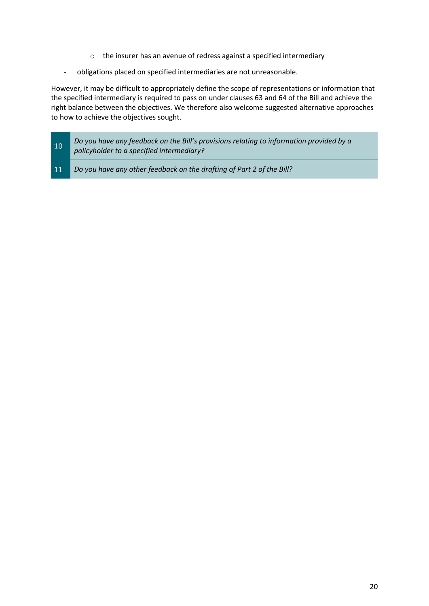- o the insurer has an avenue of redress against a specified intermediary
- obligations placed on specified intermediaries are not unreasonable.

However, it may be difficult to appropriately define the scope of representations or information that the specified intermediary is required to pass on under clauses 63 and 64 of the Bill and achieve the right balance between the objectives. We therefore also welcome suggested alternative approaches to how to achieve the objectives sought.

- *Do you have any feedback on the Bill's provisions relating to information provided by a*  10 *policyholder to a specified intermediary?*
- 11 *Do you have any other feedback on the drafting of Part 2 of the Bill?*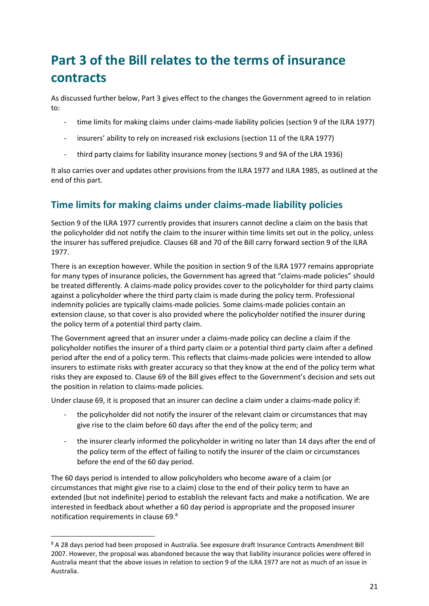## <span id="page-20-0"></span>**Part 3 of the Bill relates to the terms of insurance contracts**

As discussed further below, Part 3 gives effect to the changes the Government agreed to in relation to:

- time limits for making claims under claims-made liability policies (section 9 of the ILRA 1977)
- insurers' ability to rely on increased risk exclusions (section 11 of the ILRA 1977)
- third party claims for liability insurance money (sections 9 and 9A of the LRA 1936)

It also carries over and updates other provisions from the ILRA 1977 and ILRA 1985, as outlined at the end of this part.

### **Time limits for making claims under claims-made liability policies**

Section 9 of the ILRA 1977 currently provides that insurers cannot decline a claim on the basis that the policyholder did not notify the claim to the insurer within time limits set out in the policy, unless the insurer has suffered prejudice. Clauses 68 and 70 of the Bill carry forward section 9 of the ILRA 1977.

There is an exception however. While the position in section 9 of the ILRA 1977 remains appropriate for many types of insurance policies, the Government has agreed that "claims-made policies" should be treated differently. A claims-made policy provides cover to the policyholder for third party claims against a policyholder where the third party claim is made during the policy term. Professional indemnity policies are typically claims-made policies. Some claims-made policies contain an extension clause, so that cover is also provided where the policyholder notified the insurer during the policy term of a potential third party claim.

The Government agreed that an insurer under a claims-made policy can decline a claim if the policyholder notifies the insurer of a third party claim or a potential third party claim after a defined period after the end of a policy term. This reflects that claims-made policies were intended to allow insurers to estimate risks with greater accuracy so that they know at the end of the policy term what risks they are exposed to. Clause 69 of the Bill gives effect to the Government's decision and sets out the position in relation to claims-made policies.

Under clause 69, it is proposed that an insurer can decline a claim under a claims-made policy if:

- the policyholder did not notify the insurer of the relevant claim or circumstances that may give rise to the claim before 60 days after the end of the policy term; and
- the insurer clearly informed the policyholder in writing no later than 14 days after the end of the policy term of the effect of failing to notify the insurer of the claim or circumstances before the end of the 60 day period.

The 60 days period is intended to allow policyholders who become aware of a claim (or circumstances that might give rise to a claim) close to the end of their policy term to have an extended (but not indefinite) period to establish the relevant facts and make a notification. We are interested in feedback about whether a 60 day period is appropriate and the proposed insurer notification requirements in clause 69.<sup>8</sup>

<sup>8</sup> A 28 days period had been proposed in Australia. See exposure draft Insurance Contracts Amendment Bill 2007. However, the proposal was abandoned because the way that liability insurance policies were offered in Australia meant that the above issues in relation to section 9 of the ILRA 1977 are not as much of an issue in Australia.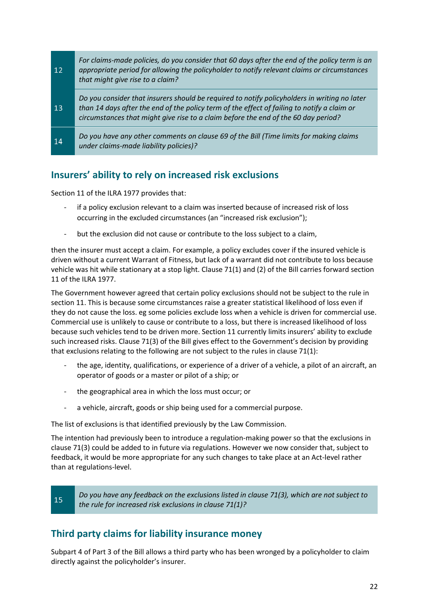| $12 \overline{ }$ | For claims-made policies, do you consider that 60 days after the end of the policy term is an<br>appropriate period for allowing the policyholder to notify relevant claims or circumstances<br>that might give rise to a claim?                                                  |
|-------------------|-----------------------------------------------------------------------------------------------------------------------------------------------------------------------------------------------------------------------------------------------------------------------------------|
| 13                | Do you consider that insurers should be required to notify policyholders in writing no later<br>than 14 days after the end of the policy term of the effect of failing to notify a claim or<br>circumstances that might give rise to a claim before the end of the 60 day period? |
| $\overline{14}$   | Do you have any other comments on clause 69 of the Bill (Time limits for making claims<br>under claims-made liability policies)?                                                                                                                                                  |

#### **Insurers' ability to rely on increased risk exclusions**

Section 11 of the ILRA 1977 provides that:

- if a policy exclusion relevant to a claim was inserted because of increased risk of loss occurring in the excluded circumstances (an "increased risk exclusion");
- but the exclusion did not cause or contribute to the loss subject to a claim,

then the insurer must accept a claim. For example, a policy excludes cover if the insured vehicle is driven without a current Warrant of Fitness, but lack of a warrant did not contribute to loss because vehicle was hit while stationary at a stop light. Clause 71(1) and (2) of the Bill carries forward section 11 of the ILRA 1977.

The Government however agreed that certain policy exclusions should not be subject to the rule in section 11. This is because some circumstances raise a greater statistical likelihood of loss even if they do not cause the loss. eg some policies exclude loss when a vehicle is driven for commercial use. Commercial use is unlikely to cause or contribute to a loss, but there is increased likelihood of loss because such vehicles tend to be driven more. Section 11 currently limits insurers' ability to exclude such increased risks. Clause 71(3) of the Bill gives effect to the Government's decision by providing that exclusions relating to the following are not subject to the rules in clause 71(1):

- the age, identity, qualifications, or experience of a driver of a vehicle, a pilot of an aircraft, an operator of goods or a master or pilot of a ship; or
- the geographical area in which the loss must occur; or
- a vehicle, aircraft, goods or ship being used for a commercial purpose.

The list of exclusions is that identified previously by the Law Commission.

The intention had previously been to introduce a regulation-making power so that the exclusions in clause 71(3) could be added to in future via regulations. However we now consider that, subject to feedback, it would be more appropriate for any such changes to take place at an Act-level rather than at regulations-level.

15

*Do you have any feedback on the exclusions listed in clause 71(3), which are not subject to the rule for increased risk exclusions in clause 71(1)?*

#### **Third party claims for liability insurance money**

Subpart 4 of Part 3 of the Bill allows a third party who has been wronged by a policyholder to claim directly against the policyholder's insurer.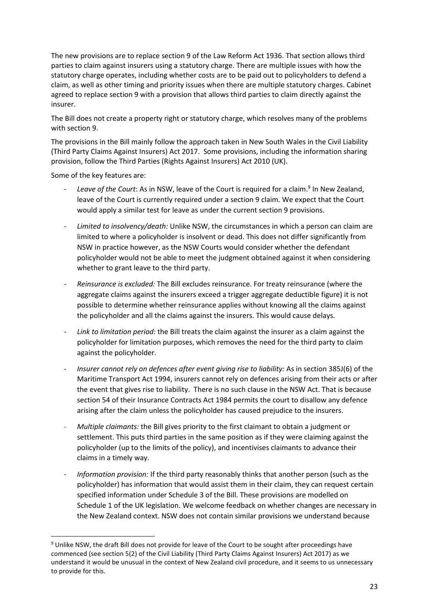The new provisions are to replace section 9 of the Law Reform Act 1936. That section allows third parties to claim against insurers using a statutory charge. There are multiple issues with how the statutory charge operates, including whether costs are to be paid out to policyholders to defend a claim, as well as other timing and priority issues when there are multiple statutory charges. Cabinet agreed to replace section 9 with a provision that allows third parties to claim directly against the insurer.

The Bill does not create a property right or statutory charge, which resolves many of the problems with section 9.

The provisions in the Bill mainly follow the approach taken in New South Wales in the Civil Liability (Third Party Claims Against Insurers) Act 2017. Some provisions, including the information sharing provision, follow the Third Parties (Rights Against Insurers) Act 2010 (UK).

Some of the key features are:

- Leave of the Court: As in NSW, leave of the Court is required for a claim.<sup>9</sup> In New Zealand, leave of the Court is currently required under a section 9 claim. We expect that the Court would apply a similar test for leave as under the current section 9 provisions.
- *Limited to insolvency/death:* Unlike NSW, the circumstances in which a person can claim are limited to where a policyholder is insolvent or dead. This does not differ significantly from NSW in practice however, as the NSW Courts would consider whether the defendant policyholder would not be able to meet the judgment obtained against it when considering whether to grant leave to the third party.
- *Reinsurance is excluded:* The Bill excludes reinsurance. For treaty reinsurance (where the aggregate claims against the insurers exceed a trigger aggregate deductible figure) it is not possible to determine whether reinsurance applies without knowing all the claims against the policyholder and all the claims against the insurers. This would cause delays.
- Link to limitation period: the Bill treats the claim against the insurer as a claim against the policyholder for limitation purposes, which removes the need for the third party to claim against the policyholder.
- *Insurer cannot rely on defences after event giving rise to liability:* As in section 385J(6) of the Maritime Transport Act 1994, insurers cannot rely on defences arising from their acts or after the event that gives rise to liability. There is no such clause in the NSW Act. That is because section 54 of their Insurance Contracts Act 1984 permits the court to disallow any defence arising after the claim unless the policyholder has caused prejudice to the insurers.
- *Multiple claimants:* the Bill gives priority to the first claimant to obtain a judgment or settlement. This puts third parties in the same position as if they were claiming against the policyholder (up to the limits of the policy), and incentivises claimants to advance their claims in a timely way.
- *Information provision:* If the third party reasonably thinks that another person (such as the policyholder) has information that would assist them in their claim, they can request certain specified information under Schedule 3 of the Bill. These provisions are modelled on Schedule 1 of the UK legislation. We welcome feedback on whether changes are necessary in the New Zealand context. NSW does not contain similar provisions we understand because

<sup>&</sup>lt;sup>9</sup> Unlike NSW, the draft Bill does not provide for leave of the Court to be sought after proceedings have commenced (see section 5(2) of the Civil Liability (Third Party Claims Against Insurers) Act 2017) as we understand it would be unusual in the context of New Zealand civil procedure, and it seems to us unnecessary to provide for this.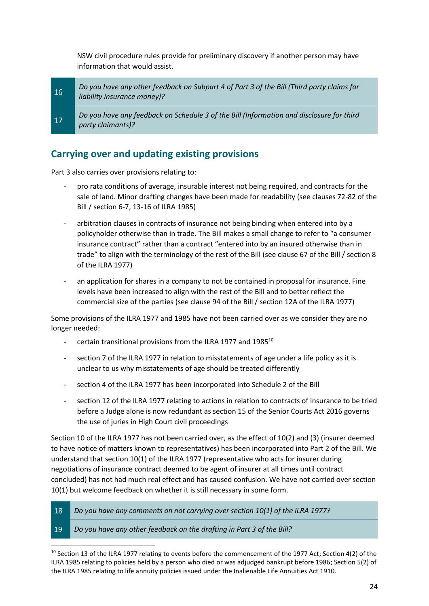NSW civil procedure rules provide for preliminary discovery if another person may have information that would assist.

*Do you have any other feedback on Subpart 4 of Part 3 of the Bill (Third party claims for*   $16<sup>°</sup>$ *liability insurance money)?*

*Do you have any feedback on Schedule 3 of the Bill (Information and disclosure for third party claimants)?*

#### **Carrying over and updating existing provisions**

Part 3 also carries over provisions relating to:

- pro rata conditions of average, insurable interest not being required, and contracts for the sale of land. Minor drafting changes have been made for readability (see clauses 72-82 of the Bill / section 6-7, 13-16 of ILRA 1985)
- arbitration clauses in contracts of insurance not being binding when entered into by a policyholder otherwise than in trade. The Bill makes a small change to refer to "a consumer insurance contract" rather than a contract "entered into by an insured otherwise than in trade" to align with the terminology of the rest of the Bill (see clause 67 of the Bill / section 8 of the ILRA 1977)
- an application for shares in a company to not be contained in proposal for insurance. Fine levels have been increased to align with the rest of the Bill and to better reflect the commercial size of the parties (see clause 94 of the Bill / section 12A of the ILRA 1977)

Some provisions of the ILRA 1977 and 1985 have not been carried over as we consider they are no longer needed:

- certain transitional provisions from the ILRA 1977 and  $1985^{10}$
- section 7 of the ILRA 1977 in relation to misstatements of age under a life policy as it is unclear to us why misstatements of age should be treated differently
- section 4 of the ILRA 1977 has been incorporated into Schedule 2 of the Bill
- section 12 of the ILRA 1977 relating to actions in relation to contracts of insurance to be tried before a Judge alone is now redundant as section 15 of the Senior Courts Act 2016 governs the use of juries in High Court civil proceedings

Section 10 of the ILRA 1977 has not been carried over, as the effect of 10(2) and (3) (insurer deemed to have notice of matters known to representatives) has been incorporated into Part 2 of the Bill. We understand that section 10(1) of the ILRA 1977 (representative who acts for insurer during negotiations of insurance contract deemed to be agent of insurer at all times until contract concluded) has not had much real effect and has caused confusion. We have not carried over section 10(1) but welcome feedback on whether it is still necessary in some form.

18 *Do you have any comments on not carrying over section 10(1) of the ILRA 1977?*

#### 19 *Do you have any other feedback on the drafting in Part 3 of the Bill?*

<sup>10</sup> Section 13 of the ILRA 1977 relating to events before the commencement of the 1977 Act; Section 4(2) of the ILRA 1985 relating to policies held by a person who died or was adjudged bankrupt before 1986; Section 5(2) of the ILRA 1985 relating to life annuity policies issued under the Inalienable Life Annuities Act 1910.

<sup>17</sup>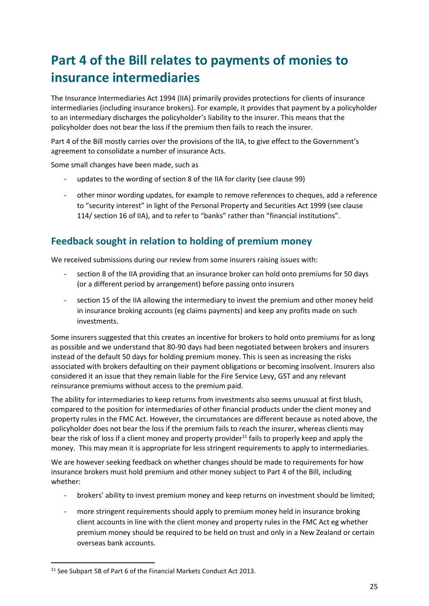## <span id="page-24-0"></span>**Part 4 of the Bill relates to payments of monies to insurance intermediaries**

The Insurance Intermediaries Act 1994 (IIA) primarily provides protections for clients of insurance intermediaries (including insurance brokers). For example, it provides that payment by a policyholder to an intermediary discharges the policyholder's liability to the insurer. This means that the policyholder does not bear the loss if the premium then fails to reach the insurer.

Part 4 of the Bill mostly carries over the provisions of the IIA, to give effect to the Government's agreement to consolidate a number of insurance Acts.

Some small changes have been made, such as

- updates to the wording of section 8 of the IIA for clarity (see clause 99)
- other minor wording updates, for example to remove references to cheques, add a reference to "security interest" in light of the Personal Property and Securities Act 1999 (see clause 114/ section 16 of IIA), and to refer to "banks" rather than "financial institutions".

#### **Feedback sought in relation to holding of premium money**

We received submissions during our review from some insurers raising issues with:

- section 8 of the IIA providing that an insurance broker can hold onto premiums for 50 days (or a different period by arrangement) before passing onto insurers
- section 15 of the IIA allowing the intermediary to invest the premium and other money held in insurance broking accounts (eg claims payments) and keep any profits made on such investments.

Some insurers suggested that this creates an incentive for brokers to hold onto premiums for as long as possible and we understand that 80-90 days had been negotiated between brokers and insurers instead of the default 50 days for holding premium money. This is seen as increasing the risks associated with brokers defaulting on their payment obligations or becoming insolvent. Insurers also considered it an issue that they remain liable for the Fire Service Levy, GST and any relevant reinsurance premiums without access to the premium paid.

The ability for intermediaries to keep returns from investments also seems unusual at first blush, compared to the position for intermediaries of other financial products under the client money and property rules in the FMC Act. However, the circumstances are different because as noted above, the policyholder does not bear the loss if the premium fails to reach the insurer, whereas clients may bear the risk of loss if a client money and property provider $^{11}$  fails to properly keep and apply the money. This may mean it is appropriate for less stringent requirements to apply to intermediaries.

We are however seeking feedback on whether changes should be made to requirements for how insurance brokers must hold premium and other money subject to Part 4 of the Bill, including whether:

- brokers' ability to invest premium money and keep returns on investment should be limited;
- more stringent requirements should apply to premium money held in insurance broking client accounts in line with the client money and property rules in the FMC Act eg whether premium money should be required to be held on trust and only in a New Zealand or certain overseas bank accounts.

<sup>&</sup>lt;sup>11</sup> See Subpart 5B of Part 6 of the Financial Markets Conduct Act 2013.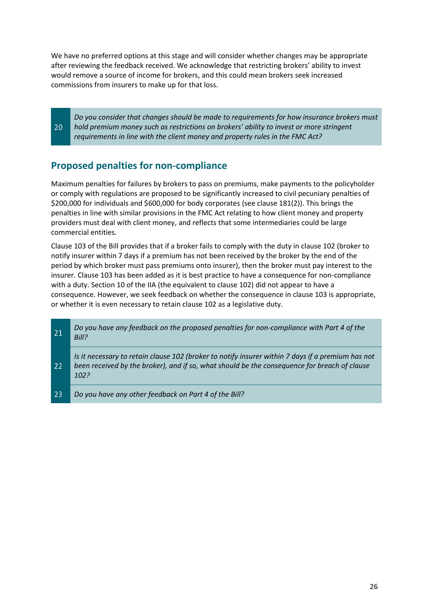We have no preferred options at this stage and will consider whether changes may be appropriate after reviewing the feedback received. We acknowledge that restricting brokers' ability to invest would remove a source of income for brokers, and this could mean brokers seek increased commissions from insurers to make up for that loss.

*Do you consider that changes should be made to requirements for how insurance brokers must hold premium money such as restrictions on brokers' ability to invest or more stringent requirements in line with the client money and property rules in the FMC Act?*

#### **Proposed penalties for non-compliance**

20

Maximum penalties for failures by brokers to pass on premiums, make payments to the policyholder or comply with regulations are proposed to be significantly increased to civil pecuniary penalties of \$200,000 for individuals and \$600,000 for body corporates (see clause 181(2)). This brings the penalties in line with similar provisions in the FMC Act relating to how client money and property providers must deal with client money, and reflects that some intermediaries could be large commercial entities.

Clause 103 of the Bill provides that if a broker fails to comply with the duty in clause 102 (broker to notify insurer within 7 days if a premium has not been received by the broker by the end of the period by which broker must pass premiums onto insurer), then the broker must pay interest to the insurer. Clause 103 has been added as it is best practice to have a consequence for non-compliance with a duty. Section 10 of the IIA (the equivalent to clause 102) did not appear to have a consequence. However, we seek feedback on whether the consequence in clause 103 is appropriate, or whether it is even necessary to retain clause 102 as a legislative duty.

| 21              | Do you have any feedback on the proposed penalties for non-compliance with Part 4 of the<br>Bill?                                                                                                         |
|-----------------|-----------------------------------------------------------------------------------------------------------------------------------------------------------------------------------------------------------|
| 22 <sub>1</sub> | Is it necessary to retain clause 102 (broker to notify insurer within 7 days if a premium has not<br>been received by the broker), and if so, what should be the consequence for breach of clause<br>102? |
| 23              | Do you have any other feedback on Part 4 of the Bill?                                                                                                                                                     |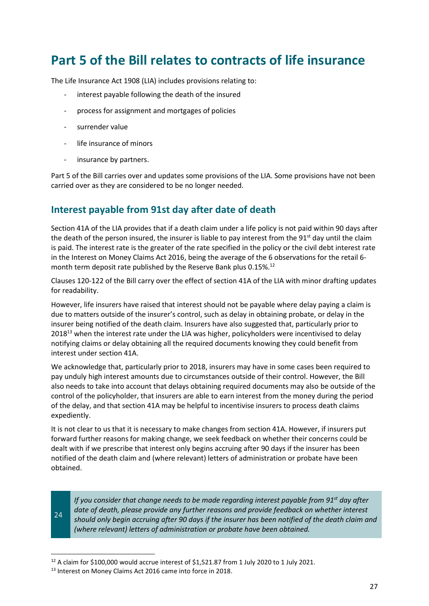## <span id="page-26-0"></span>**Part 5 of the Bill relates to contracts of life insurance**

The Life Insurance Act 1908 (LIA) includes provisions relating to:

- interest payable following the death of the insured
- process for assignment and mortgages of policies
- surrender value
- life insurance of minors
- insurance by partners.

Part 5 of the Bill carries over and updates some provisions of the LIA. Some provisions have not been carried over as they are considered to be no longer needed.

#### **Interest payable from 91st day after date of death**

Section 41A of the LIA provides that if a death claim under a life policy is not paid within 90 days after the death of the person insured, the insurer is liable to pay interest from the  $91<sup>st</sup>$  day until the claim is paid. The interest rate is the greater of the rate specified in the policy or the civil debt interest rate in the Interest on Money Claims Act 2016, being the average of the 6 observations for the retail 6 month term deposit rate published by the Reserve Bank plus 0.15%.<sup>12</sup>

Clauses 120-122 of the Bill carry over the effect of section 41A of the LIA with minor drafting updates for readability.

However, life insurers have raised that interest should not be payable where delay paying a claim is due to matters outside of the insurer's control, such as delay in obtaining probate, or delay in the insurer being notified of the death claim. Insurers have also suggested that, particularly prior to 2018<sup>13</sup> when the interest rate under the LIA was higher, policyholders were incentivised to delay notifying claims or delay obtaining all the required documents knowing they could benefit from interest under section 41A.

We acknowledge that, particularly prior to 2018, insurers may have in some cases been required to pay unduly high interest amounts due to circumstances outside of their control. However, the Bill also needs to take into account that delays obtaining required documents may also be outside of the control of the policyholder, that insurers are able to earn interest from the money during the period of the delay, and that section 41A may be helpful to incentivise insurers to process death claims expediently.

It is not clear to us that it is necessary to make changes from section 41A. However, if insurers put forward further reasons for making change, we seek feedback on whether their concerns could be dealt with if we prescribe that interest only begins accruing after 90 days if the insurer has been notified of the death claim and (where relevant) letters of administration or probate have been obtained.

24

*If you consider that change needs to be made regarding interest payable from 91st day after date of death, please provide any further reasons and provide feedback on whether interest should only begin accruing after 90 days if the insurer has been notified of the death claim and (where relevant) letters of administration or probate have been obtained.* 

<sup>&</sup>lt;sup>12</sup> A claim for \$100,000 would accrue interest of \$1,521.87 from 1 July 2020 to 1 July 2021.

<sup>13</sup> Interest on Money Claims Act 2016 came into force in 2018.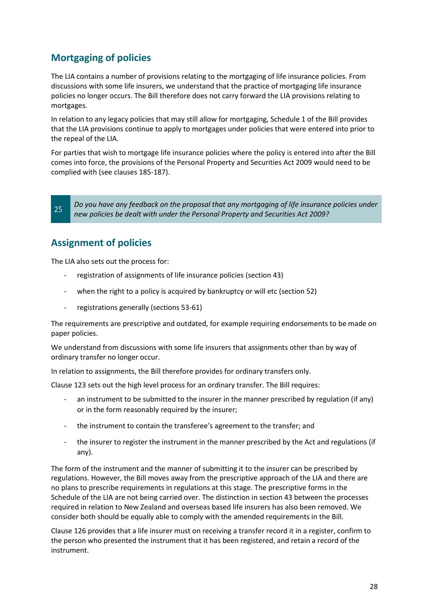### **Mortgaging of policies**

The LIA contains a number of provisions relating to the mortgaging of life insurance policies. From discussions with some life insurers, we understand that the practice of mortgaging life insurance policies no longer occurs. The Bill therefore does not carry forward the LIA provisions relating to mortgages.

In relation to any legacy policies that may still allow for mortgaging, Schedule 1 of the Bill provides that the LIA provisions continue to apply to mortgages under policies that were entered into prior to the repeal of the LIA.

For parties that wish to mortgage life insurance policies where the policy is entered into after the Bill comes into force, the provisions of the Personal Property and Securities Act 2009 would need to be complied with (see clauses 185-187).

*Do you have any feedback on the proposal that any mortgaging of life insurance policies under new policies be dealt with under the Personal Property and Securities Act 2009?*

#### **Assignment of policies**

25

The LIA also sets out the process for:

- registration of assignments of life insurance policies (section 43)
- when the right to a policy is acquired by bankruptcy or will etc (section 52)
- registrations generally (sections 53-61)

The requirements are prescriptive and outdated, for example requiring endorsements to be made on paper policies.

We understand from discussions with some life insurers that assignments other than by way of ordinary transfer no longer occur.

In relation to assignments, the Bill therefore provides for ordinary transfers only.

Clause 123 sets out the high level process for an ordinary transfer. The Bill requires:

- an instrument to be submitted to the insurer in the manner prescribed by regulation (if any) or in the form reasonably required by the insurer;
- the instrument to contain the transferee's agreement to the transfer; and
- the insurer to register the instrument in the manner prescribed by the Act and regulations (if any).

The form of the instrument and the manner of submitting it to the insurer can be prescribed by regulations. However, the Bill moves away from the prescriptive approach of the LIA and there are no plans to prescribe requirements in regulations at this stage. The prescriptive forms in the Schedule of the LIA are not being carried over. The distinction in section 43 between the processes required in relation to New Zealand and overseas based life insurers has also been removed. We consider both should be equally able to comply with the amended requirements in the Bill.

Clause 126 provides that a life insurer must on receiving a transfer record it in a register, confirm to the person who presented the instrument that it has been registered, and retain a record of the instrument.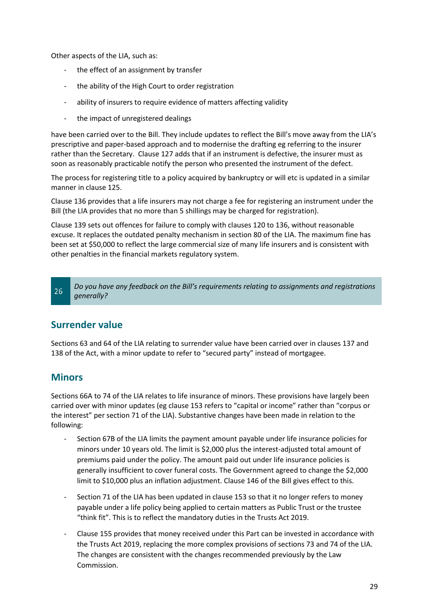Other aspects of the LIA, such as:

- the effect of an assignment by transfer
- the ability of the High Court to order registration
- ability of insurers to require evidence of matters affecting validity
- the impact of unregistered dealings

have been carried over to the Bill. They include updates to reflect the Bill's move away from the LIA's prescriptive and paper-based approach and to modernise the drafting eg referring to the insurer rather than the Secretary. Clause 127 adds that if an instrument is defective, the insurer must as soon as reasonably practicable notify the person who presented the instrument of the defect.

The process for registering title to a policy acquired by bankruptcy or will etc is updated in a similar manner in clause 125.

Clause 136 provides that a life insurers may not charge a fee for registering an instrument under the Bill (the LIA provides that no more than 5 shillings may be charged for registration).

Clause 139 sets out offences for failure to comply with clauses 120 to 136, without reasonable excuse. It replaces the outdated penalty mechanism in section 80 of the LIA. The maximum fine has been set at \$50,000 to reflect the large commercial size of many life insurers and is consistent with other penalties in the financial markets regulatory system.

#### **Surrender value**

Sections 63 and 64 of the LIA relating to surrender value have been carried over in clauses 137 and 138 of the Act, with a minor update to refer to "secured party" instead of mortgagee.

#### **Minors**

Sections 66A to 74 of the LIA relates to life insurance of minors. These provisions have largely been carried over with minor updates (eg clause 153 refers to "capital or income" rather than "corpus or the interest" per section 71 of the LIA). Substantive changes have been made in relation to the following:

- Section 67B of the LIA limits the payment amount payable under life insurance policies for minors under 10 years old. The limit is \$2,000 plus the interest-adjusted total amount of premiums paid under the policy. The amount paid out under life insurance policies is generally insufficient to cover funeral costs. The Government agreed to change the \$2,000 limit to \$10,000 plus an inflation adjustment. Clause 146 of the Bill gives effect to this.
- Section 71 of the LIA has been updated in clause 153 so that it no longer refers to money payable under a life policy being applied to certain matters as Public Trust or the trustee "think fit". This is to reflect the mandatory duties in the Trusts Act 2019.
- Clause 155 provides that money received under this Part can be invested in accordance with the Trusts Act 2019, replacing the more complex provisions of sections 73 and 74 of the LIA. The changes are consistent with the changes recommended previously by the Law Commission.

*Do you have any feedback on the Bill's requirements relating to assignments and registrations*  26 *generally?*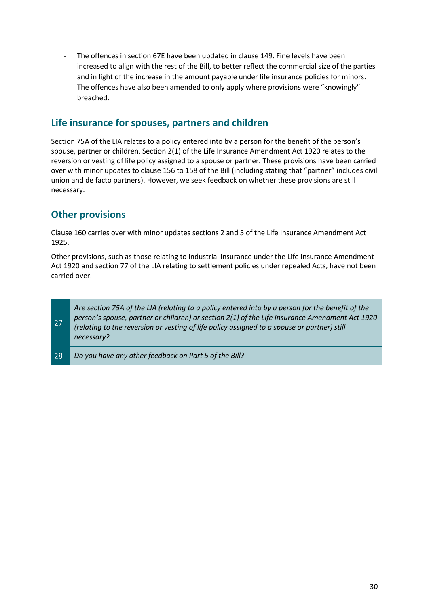The offences in section 67E have been updated in clause 149. Fine levels have been increased to align with the rest of the Bill, to better reflect the commercial size of the parties and in light of the increase in the amount payable under life insurance policies for minors. The offences have also been amended to only apply where provisions were "knowingly" breached.

#### **Life insurance for spouses, partners and children**

Section 75A of the LIA relates to a policy entered into by a person for the benefit of the person's spouse, partner or children. Section 2(1) of the Life Insurance Amendment Act 1920 relates to the reversion or vesting of life policy assigned to a spouse or partner. These provisions have been carried over with minor updates to clause 156 to 158 of the Bill (including stating that "partner" includes civil union and de facto partners). However, we seek feedback on whether these provisions are still necessary.

#### **Other provisions**

Clause 160 carries over with minor updates sections 2 and 5 of the Life Insurance Amendment Act 1925.

Other provisions, such as those relating to industrial insurance under the Life Insurance Amendment Act 1920 and section 77 of the LIA relating to settlement policies under repealed Acts, have not been carried over.



28 *Do you have any other feedback on Part 5 of the Bill?*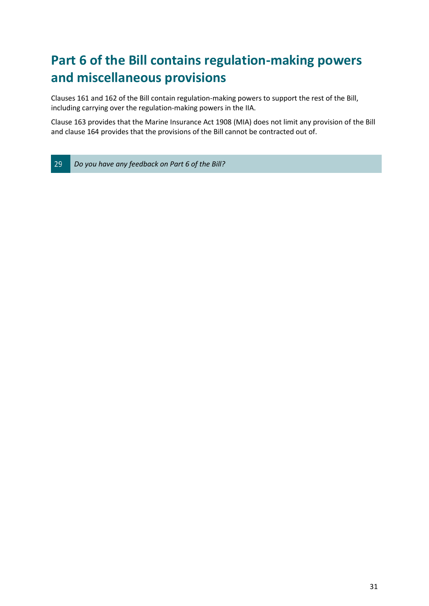## <span id="page-30-0"></span>**Part 6 of the Bill contains regulation-making powers and miscellaneous provisions**

Clauses 161 and 162 of the Bill contain regulation-making powers to support the rest of the Bill, including carrying over the regulation-making powers in the IIA.

Clause 163 provides that the Marine Insurance Act 1908 (MIA) does not limit any provision of the Bill and clause 164 provides that the provisions of the Bill cannot be contracted out of.

29 *Do you have any feedback on Part 6 of the Bill?*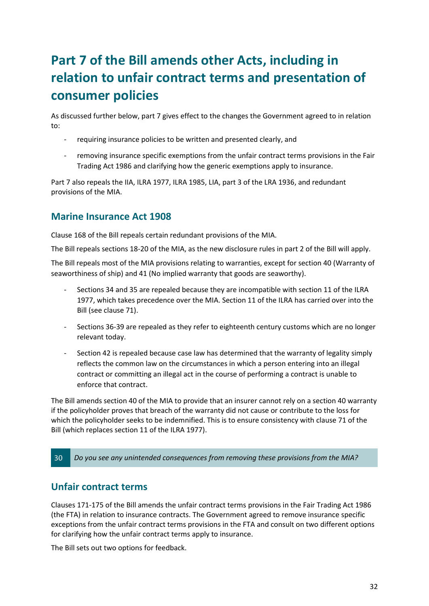## <span id="page-31-0"></span>**Part 7 of the Bill amends other Acts, including in relation to unfair contract terms and presentation of consumer policies**

As discussed further below, part 7 gives effect to the changes the Government agreed to in relation to:

- requiring insurance policies to be written and presented clearly, and
- removing insurance specific exemptions from the unfair contract terms provisions in the Fair Trading Act 1986 and clarifying how the generic exemptions apply to insurance.

Part 7 also repeals the IIA, ILRA 1977, ILRA 1985, LIA, part 3 of the LRA 1936, and redundant provisions of the MIA.

#### **Marine Insurance Act 1908**

Clause 168 of the Bill repeals certain redundant provisions of the MIA.

The Bill repeals sections 18-20 of the MIA, as the new disclosure rules in part 2 of the Bill will apply.

The Bill repeals most of the MIA provisions relating to warranties, except for section 40 (Warranty of seaworthiness of ship) and 41 (No implied warranty that goods are seaworthy).

- Sections 34 and 35 are repealed because they are incompatible with section 11 of the ILRA 1977, which takes precedence over the MIA. Section 11 of the ILRA has carried over into the Bill (see clause 71).
- Sections 36-39 are repealed as they refer to eighteenth century customs which are no longer relevant today.
- Section 42 is repealed because case law has determined that the warranty of legality simply reflects the common law on the circumstances in which a person entering into an illegal contract or committing an illegal act in the course of performing a contract is unable to enforce that contract.

The Bill amends section 40 of the MIA to provide that an insurer cannot rely on a section 40 warranty if the policyholder proves that breach of the warranty did not cause or contribute to the loss for which the policyholder seeks to be indemnified. This is to ensure consistency with clause 71 of the Bill (which replaces section 11 of the ILRA 1977).

30 *Do you see any unintended consequences from removing these provisions from the MIA?*

#### **Unfair contract terms**

Clauses 171-175 of the Bill amends the unfair contract terms provisions in the Fair Trading Act 1986 (the FTA) in relation to insurance contracts. The Government agreed to remove insurance specific exceptions from the unfair contract terms provisions in the FTA and consult on two different options for clarifying how the unfair contract terms apply to insurance.

The Bill sets out two options for feedback.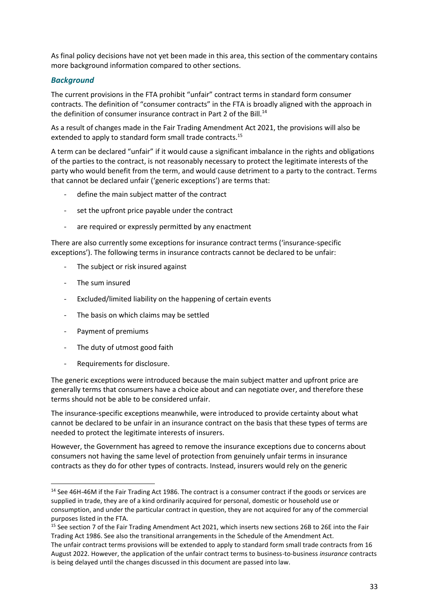As final policy decisions have not yet been made in this area, this section of the commentary contains more background information compared to other sections.

#### *Background*

The current provisions in the FTA prohibit "unfair" contract terms in standard form consumer contracts. The definition of "consumer contracts" in the FTA is broadly aligned with the approach in the definition of consumer insurance contract in Part 2 of the Bill.<sup>14</sup>

As a result of changes made in the Fair Trading Amendment Act 2021, the provisions will also be extended to apply to standard form small trade contracts.<sup>15</sup>

A term can be declared "unfair" if it would cause a significant imbalance in the rights and obligations of the parties to the contract, is not reasonably necessary to protect the legitimate interests of the party who would benefit from the term, and would cause detriment to a party to the contract. Terms that cannot be declared unfair ('generic exceptions') are terms that:

- define the main subject matter of the contract
- set the upfront price payable under the contract
- are required or expressly permitted by any enactment

There are also currently some exceptions for insurance contract terms ('insurance-specific exceptions'). The following terms in insurance contracts cannot be declared to be unfair:

- The subject or risk insured against
- The sum insured
- Excluded/limited liability on the happening of certain events
- The basis on which claims may be settled
- Payment of premiums
- The duty of utmost good faith
- Requirements for disclosure.

The generic exceptions were introduced because the main subject matter and upfront price are generally terms that consumers have a choice about and can negotiate over, and therefore these terms should not be able to be considered unfair.

The insurance-specific exceptions meanwhile, were introduced to provide certainty about what cannot be declared to be unfair in an insurance contract on the basis that these types of terms are needed to protect the legitimate interests of insurers.

However, the Government has agreed to remove the insurance exceptions due to concerns about consumers not having the same level of protection from genuinely unfair terms in insurance contracts as they do for other types of contracts. Instead, insurers would rely on the generic

<sup>&</sup>lt;sup>14</sup> See 46H-46M if the Fair Trading Act 1986. The contract is a consumer contract if the goods or services are supplied in trade, they are of a kind ordinarily acquired for personal, domestic or household use or consumption, and under the particular contract in question, they are not acquired for any of the commercial purposes listed in the FTA.

<sup>15</sup> See section 7 of the Fair Trading Amendment Act 2021, which inserts new sections 26B to 26E into the Fair Trading Act 1986. See also the transitional arrangements in the Schedule of the Amendment Act.

The unfair contract terms provisions will be extended to apply to standard form small trade contracts from 16 August 2022. However, the application of the unfair contract terms to business-to-business *insurance* contracts is being delayed until the changes discussed in this document are passed into law.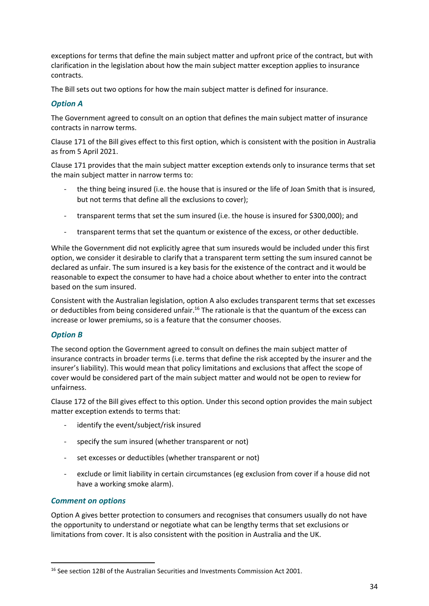exceptions for terms that define the main subject matter and upfront price of the contract, but with clarification in the legislation about how the main subject matter exception applies to insurance contracts.

The Bill sets out two options for how the main subject matter is defined for insurance.

#### *Option A*

The Government agreed to consult on an option that defines the main subject matter of insurance contracts in narrow terms.

Clause 171 of the Bill gives effect to this first option, which is consistent with the position in Australia as from 5 April 2021.

Clause 171 provides that the main subject matter exception extends only to insurance terms that set the main subject matter in narrow terms to:

- the thing being insured (i.e. the house that is insured or the life of Joan Smith that is insured, but not terms that define all the exclusions to cover);
- transparent terms that set the sum insured (i.e. the house is insured for \$300,000); and
- transparent terms that set the quantum or existence of the excess, or other deductible.

While the Government did not explicitly agree that sum insureds would be included under this first option, we consider it desirable to clarify that a transparent term setting the sum insured cannot be declared as unfair. The sum insured is a key basis for the existence of the contract and it would be reasonable to expect the consumer to have had a choice about whether to enter into the contract based on the sum insured.

Consistent with the Australian legislation, option A also excludes transparent terms that set excesses or deductibles from being considered unfair.<sup>16</sup> The rationale is that the quantum of the excess can increase or lower premiums, so is a feature that the consumer chooses.

#### *Option B*

The second option the Government agreed to consult on defines the main subject matter of insurance contracts in broader terms (i.e. terms that define the risk accepted by the insurer and the insurer's liability). This would mean that policy limitations and exclusions that affect the scope of cover would be considered part of the main subject matter and would not be open to review for unfairness.

Clause 172 of the Bill gives effect to this option. Under this second option provides the main subject matter exception extends to terms that:

- identify the event/subject/risk insured
- specify the sum insured (whether transparent or not)
- set excesses or deductibles (whether transparent or not)
- exclude or limit liability in certain circumstances (eg exclusion from cover if a house did not have a working smoke alarm).

#### *Comment on options*

Option A gives better protection to consumers and recognises that consumers usually do not have the opportunity to understand or negotiate what can be lengthy terms that set exclusions or limitations from cover. It is also consistent with the position in Australia and the UK.

<sup>&</sup>lt;sup>16</sup> See section 12BI of the Australian Securities and Investments Commission Act 2001.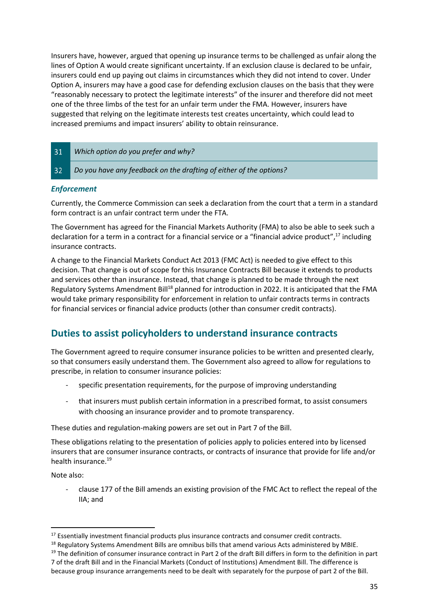Insurers have, however, argued that opening up insurance terms to be challenged as unfair along the lines of Option A would create significant uncertainty. If an exclusion clause is declared to be unfair, insurers could end up paying out claims in circumstances which they did not intend to cover. Under Option A, insurers may have a good case for defending exclusion clauses on the basis that they were "reasonably necessary to protect the legitimate interests" of the insurer and therefore did not meet one of the three limbs of the test for an unfair term under the FMA. However, insurers have suggested that relying on the legitimate interests test creates uncertainty, which could lead to increased premiums and impact insurers' ability to obtain reinsurance.

| 31 | Which option do you prefer and why?                                |
|----|--------------------------------------------------------------------|
| 32 | Do you have any feedback on the drafting of either of the options? |

#### *Enforcement*

Currently, the Commerce Commission can seek a declaration from the court that a term in a standard form contract is an unfair contract term under the FTA.

The Government has agreed for the Financial Markets Authority (FMA) to also be able to seek such a declaration for a term in a contract for a financial service or a "financial advice product", <sup>17</sup> including insurance contracts.

A change to the Financial Markets Conduct Act 2013 (FMC Act) is needed to give effect to this decision. That change is out of scope for this Insurance Contracts Bill because it extends to products and services other than insurance. Instead, that change is planned to be made through the next Regulatory Systems Amendment Bill<sup>18</sup> planned for introduction in 2022. It is anticipated that the FMA would take primary responsibility for enforcement in relation to unfair contracts terms in contracts for financial services or financial advice products (other than consumer credit contracts).

#### **Duties to assist policyholders to understand insurance contracts**

The Government agreed to require consumer insurance policies to be written and presented clearly, so that consumers easily understand them. The Government also agreed to allow for regulations to prescribe, in relation to consumer insurance policies:

- specific presentation requirements, for the purpose of improving understanding
- that insurers must publish certain information in a prescribed format, to assist consumers with choosing an insurance provider and to promote transparency.

These duties and regulation-making powers are set out in Part 7 of the Bill.

These obligations relating to the presentation of policies apply to policies entered into by licensed insurers that are consumer insurance contracts, or contracts of insurance that provide for life and/or health insurance.<sup>19</sup>

Note also:

- clause 177 of the Bill amends an existing provision of the FMC Act to reflect the repeal of the IIA; and

<sup>&</sup>lt;sup>17</sup> Essentially investment financial products plus insurance contracts and consumer credit contracts.

<sup>&</sup>lt;sup>18</sup> Regulatory Systems Amendment Bills are omnibus bills that amend various Acts administered by MBIE.

 $19$  The definition of consumer insurance contract in Part 2 of the draft Bill differs in form to the definition in part

<sup>7</sup> of the draft Bill and in the Financial Markets (Conduct of Institutions) Amendment Bill. The difference is because group insurance arrangements need to be dealt with separately for the purpose of part 2 of the Bill.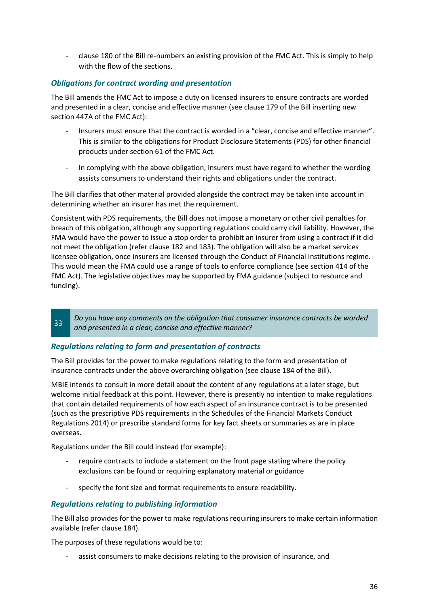- clause 180 of the Bill re-numbers an existing provision of the FMC Act. This is simply to help with the flow of the sections.

#### *Obligations for contract wording and presentation*

The Bill amends the FMC Act to impose a duty on licensed insurers to ensure contracts are worded and presented in a clear, concise and effective manner (see clause 179 of the Bill inserting new section 447A of the FMC Act):

- Insurers must ensure that the contract is worded in a "clear, concise and effective manner". This is similar to the obligations for Product Disclosure Statements (PDS) for other financial products under section 61 of the FMC Act.
- In complying with the above obligation, insurers must have regard to whether the wording assists consumers to understand their rights and obligations under the contract.

The Bill clarifies that other material provided alongside the contract may be taken into account in determining whether an insurer has met the requirement.

Consistent with PDS requirements, the Bill does not impose a monetary or other civil penalties for breach of this obligation, although any supporting regulations could carry civil liability. However, the FMA would have the power to issue a stop order to prohibit an insurer from using a contract if it did not meet the obligation (refer clause 182 and 183). The obligation will also be a market services licensee obligation, once insurers are licensed through the Conduct of Financial Institutions regime. This would mean the FMA could use a range of tools to enforce compliance (see section 414 of the FMC Act). The legislative objectives may be supported by FMA guidance (subject to resource and funding).

*Do you have any comments on the obligation that consumer insurance contracts be worded*  33 *and presented in a clear, concise and effective manner?*

#### *Regulations relating to form and presentation of contracts*

The Bill provides for the power to make regulations relating to the form and presentation of insurance contracts under the above overarching obligation (see clause 184 of the Bill).

MBIE intends to consult in more detail about the content of any regulations at a later stage, but welcome initial feedback at this point. However, there is presently no intention to make regulations that contain detailed requirements of how each aspect of an insurance contract is to be presented (such as the prescriptive PDS requirements in the Schedules of the Financial Markets Conduct Regulations 2014) or prescribe standard forms for key fact sheets or summaries as are in place overseas.

Regulations under the Bill could instead (for example):

- require contracts to include a statement on the front page stating where the policy exclusions can be found or requiring explanatory material or guidance
- specify the font size and format requirements to ensure readability.

#### *Regulations relating to publishing information*

The Bill also provides for the power to make regulations requiring insurers to make certain information available (refer clause 184).

The purposes of these regulations would be to:

assist consumers to make decisions relating to the provision of insurance, and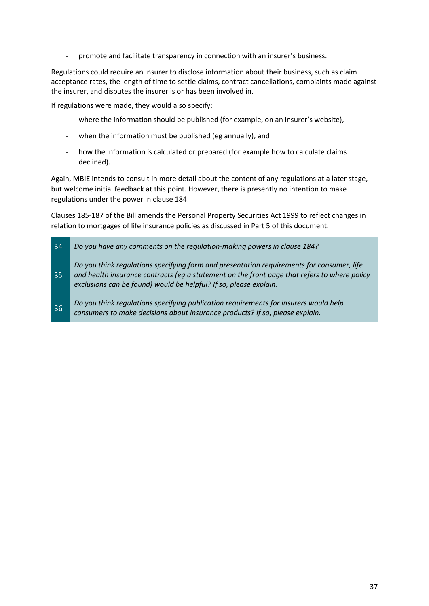promote and facilitate transparency in connection with an insurer's business.

Regulations could require an insurer to disclose information about their business, such as claim acceptance rates, the length of time to settle claims, contract cancellations, complaints made against the insurer, and disputes the insurer is or has been involved in.

If regulations were made, they would also specify:

- where the information should be published (for example, on an insurer's website),
- when the information must be published (eg annually), and
- how the information is calculated or prepared (for example how to calculate claims declined).

Again, MBIE intends to consult in more detail about the content of any regulations at a later stage, but welcome initial feedback at this point. However, there is presently no intention to make regulations under the power in clause 184.

Clauses 185-187 of the Bill amends the Personal Property Securities Act 1999 to reflect changes in relation to mortgages of life insurance policies as discussed in Part 5 of this document.

| 34 | Do you have any comments on the regulation-making powers in clause 184?                                                                                                                                                                                        |
|----|----------------------------------------------------------------------------------------------------------------------------------------------------------------------------------------------------------------------------------------------------------------|
| 35 | Do you think regulations specifying form and presentation requirements for consumer, life<br>and health insurance contracts (eg a statement on the front page that refers to where policy<br>exclusions can be found) would be helpful? If so, please explain. |
| 36 | Do you think regulations specifying publication requirements for insurers would help<br>consumers to make decisions about insurance products? If so, please explain.                                                                                           |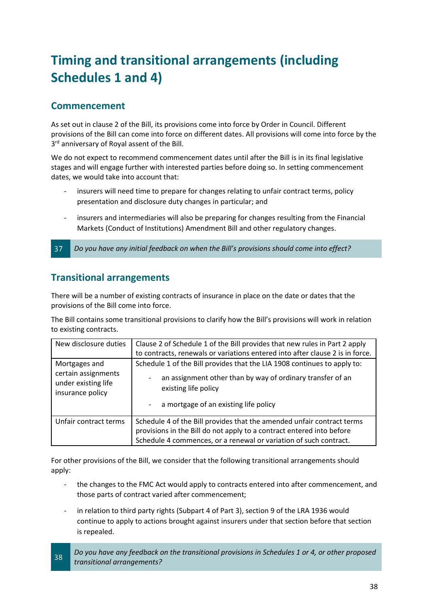## <span id="page-37-0"></span>**Timing and transitional arrangements (including Schedules 1 and 4)**

#### **Commencement**

As set out in clause 2 of the Bill, its provisions come into force by Order in Council. Different provisions of the Bill can come into force on different dates. All provisions will come into force by the 3<sup>rd</sup> anniversary of Royal assent of the Bill.

We do not expect to recommend commencement dates until after the Bill is in its final legislative stages and will engage further with interested parties before doing so. In setting commencement dates, we would take into account that:

- insurers will need time to prepare for changes relating to unfair contract terms, policy presentation and disclosure duty changes in particular; and
- insurers and intermediaries will also be preparing for changes resulting from the Financial Markets (Conduct of Institutions) Amendment Bill and other regulatory changes.

37 *Do you have any initial feedback on when the Bill's provisions should come into effect?*

#### **Transitional arrangements**

There will be a number of existing contracts of insurance in place on the date or dates that the provisions of the Bill come into force.

The Bill contains some transitional provisions to clarify how the Bill's provisions will work in relation to existing contracts.

| New disclosure duties                                          | Clause 2 of Schedule 1 of the Bill provides that new rules in Part 2 apply                                                                                                                                           |
|----------------------------------------------------------------|----------------------------------------------------------------------------------------------------------------------------------------------------------------------------------------------------------------------|
|                                                                | to contracts, renewals or variations entered into after clause 2 is in force.                                                                                                                                        |
| Mortgages and                                                  | Schedule 1 of the Bill provides that the LIA 1908 continues to apply to:                                                                                                                                             |
| certain assignments<br>under existing life<br>insurance policy | an assignment other than by way of ordinary transfer of an<br>existing life policy                                                                                                                                   |
|                                                                | a mortgage of an existing life policy<br>$\sim 100$                                                                                                                                                                  |
| Unfair contract terms                                          | Schedule 4 of the Bill provides that the amended unfair contract terms<br>provisions in the Bill do not apply to a contract entered into before<br>Schedule 4 commences, or a renewal or variation of such contract. |

For other provisions of the Bill, we consider that the following transitional arrangements should apply:

- the changes to the FMC Act would apply to contracts entered into after commencement, and those parts of contract varied after commencement;
- in relation to third party rights (Subpart 4 of Part 3), section 9 of the LRA 1936 would continue to apply to actions brought against insurers under that section before that section is repealed.
- *Do you have any feedback on the transitional provisions in Schedules 1 or 4, or other proposed*  38 *transitional arrangements?*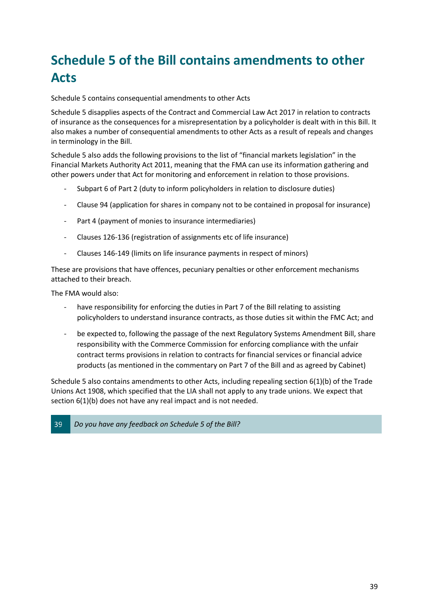## <span id="page-38-0"></span>**Schedule 5 of the Bill contains amendments to other Acts**

Schedule 5 contains consequential amendments to other Acts

Schedule 5 disapplies aspects of the Contract and Commercial Law Act 2017 in relation to contracts of insurance as the consequences for a misrepresentation by a policyholder is dealt with in this Bill. It also makes a number of consequential amendments to other Acts as a result of repeals and changes in terminology in the Bill.

Schedule 5 also adds the following provisions to the list of "financial markets legislation" in the Financial Markets Authority Act 2011, meaning that the FMA can use its information gathering and other powers under that Act for monitoring and enforcement in relation to those provisions.

- Subpart 6 of Part 2 (duty to inform policyholders in relation to disclosure duties)
- Clause 94 (application for shares in company not to be contained in proposal for insurance)
- Part 4 (payment of monies to insurance intermediaries)
- Clauses 126-136 (registration of assignments etc of life insurance)
- Clauses 146-149 (limits on life insurance payments in respect of minors)

These are provisions that have offences, pecuniary penalties or other enforcement mechanisms attached to their breach.

The FMA would also:

- have responsibility for enforcing the duties in Part 7 of the Bill relating to assisting policyholders to understand insurance contracts, as those duties sit within the FMC Act; and
- be expected to, following the passage of the next Regulatory Systems Amendment Bill, share responsibility with the Commerce Commission for enforcing compliance with the unfair contract terms provisions in relation to contracts for financial services or financial advice products (as mentioned in the commentary on Part 7 of the Bill and as agreed by Cabinet)

Schedule 5 also contains amendments to other Acts, including repealing section 6(1)(b) of the Trade Unions Act 1908, which specified that the LIA shall not apply to any trade unions. We expect that section 6(1)(b) does not have any real impact and is not needed.

#### 39 *Do you have any feedback on Schedule 5 of the Bill?*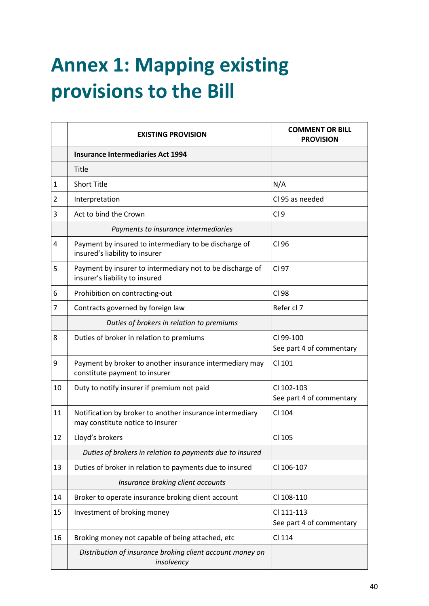# <span id="page-39-0"></span>**Annex 1: Mapping existing provisions to the Bill**

|                | <b>EXISTING PROVISION</b>                                                                    | <b>COMMENT OR BILL</b><br><b>PROVISION</b> |
|----------------|----------------------------------------------------------------------------------------------|--------------------------------------------|
|                | <b>Insurance Intermediaries Act 1994</b>                                                     |                                            |
|                | Title                                                                                        |                                            |
| $\mathbf{1}$   | <b>Short Title</b>                                                                           | N/A                                        |
| $\overline{2}$ | Interpretation                                                                               | Cl 95 as needed                            |
| 3              | Act to bind the Crown                                                                        | Cl <sub>9</sub>                            |
|                | Payments to insurance intermediaries                                                         |                                            |
| 4              | Payment by insured to intermediary to be discharge of<br>insured's liability to insurer      | CI 96                                      |
| 5              | Payment by insurer to intermediary not to be discharge of<br>insurer's liability to insured  | CI 97                                      |
| 6              | Prohibition on contracting-out                                                               | CI 98                                      |
| $\overline{7}$ | Contracts governed by foreign law                                                            | Refer cl 7                                 |
|                | Duties of brokers in relation to premiums                                                    |                                            |
| 8              | Duties of broker in relation to premiums                                                     | CI 99-100<br>See part 4 of commentary      |
| 9              | Payment by broker to another insurance intermediary may<br>constitute payment to insurer     | CI 101                                     |
| 10             | Duty to notify insurer if premium not paid                                                   | CI 102-103<br>See part 4 of commentary     |
| 11             | Notification by broker to another insurance intermediary<br>may constitute notice to insurer | CI 104                                     |
| 12             | Lloyd's brokers                                                                              | CI 105                                     |
|                | Duties of brokers in relation to payments due to insured                                     |                                            |
| 13             | Duties of broker in relation to payments due to insured                                      | CI 106-107                                 |
|                | Insurance broking client accounts                                                            |                                            |
| 14             | Broker to operate insurance broking client account                                           | CI 108-110                                 |
| 15             | Investment of broking money                                                                  | CI 111-113<br>See part 4 of commentary     |
| 16             | Broking money not capable of being attached, etc                                             | CI 114                                     |
|                | Distribution of insurance broking client account money on<br>insolvency                      |                                            |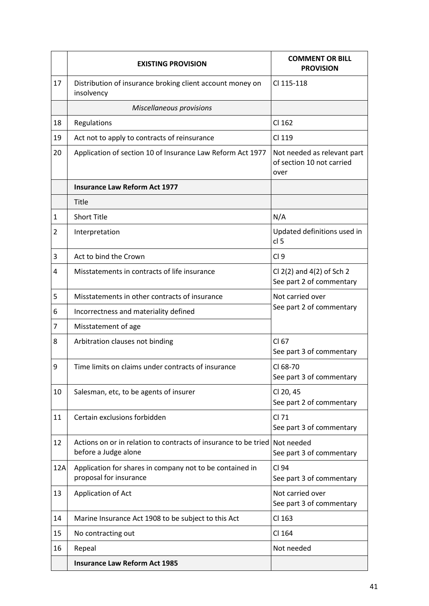|              | <b>EXISTING PROVISION</b>                                                                          | <b>COMMENT OR BILL</b><br><b>PROVISION</b>                       |
|--------------|----------------------------------------------------------------------------------------------------|------------------------------------------------------------------|
| 17           | Distribution of insurance broking client account money on<br>insolvency                            | CI 115-118                                                       |
|              | Miscellaneous provisions                                                                           |                                                                  |
| 18           | Regulations                                                                                        | CI 162                                                           |
| 19           | Act not to apply to contracts of reinsurance                                                       | CI 119                                                           |
| 20           | Application of section 10 of Insurance Law Reform Act 1977                                         | Not needed as relevant part<br>of section 10 not carried<br>over |
|              | <b>Insurance Law Reform Act 1977</b>                                                               |                                                                  |
|              | Title                                                                                              |                                                                  |
| $\mathbf{1}$ | <b>Short Title</b>                                                                                 | N/A                                                              |
| 2            | Interpretation                                                                                     | Updated definitions used in<br>cl <sub>5</sub>                   |
| 3            | Act to bind the Crown                                                                              | Cl <sub>9</sub>                                                  |
| 4            | Misstatements in contracts of life insurance                                                       | Cl $2(2)$ and $4(2)$ of Sch 2<br>See part 2 of commentary        |
| 5            | Misstatements in other contracts of insurance                                                      | Not carried over                                                 |
| 6            | Incorrectness and materiality defined                                                              | See part 2 of commentary                                         |
| 7            | Misstatement of age                                                                                |                                                                  |
| 8            | Arbitration clauses not binding                                                                    | CI 67<br>See part 3 of commentary                                |
| 9            | Time limits on claims under contracts of insurance                                                 | CI 68-70<br>See part 3 of commentary                             |
| 10           | Salesman, etc, to be agents of insurer                                                             | Cl 20, 45<br>See part 2 of commentary                            |
| 11           | Certain exclusions forbidden                                                                       | CI 71<br>See part 3 of commentary                                |
| 12           | Actions on or in relation to contracts of insurance to be tried Not needed<br>before a Judge alone | See part 3 of commentary                                         |
| 12A          | Application for shares in company not to be contained in<br>proposal for insurance                 | CI 94<br>See part 3 of commentary                                |
| 13           | Application of Act                                                                                 | Not carried over<br>See part 3 of commentary                     |
| 14           | Marine Insurance Act 1908 to be subject to this Act                                                | CI 163                                                           |
| 15           | No contracting out                                                                                 | CI 164                                                           |
| 16           | Repeal                                                                                             | Not needed                                                       |
|              | <b>Insurance Law Reform Act 1985</b>                                                               |                                                                  |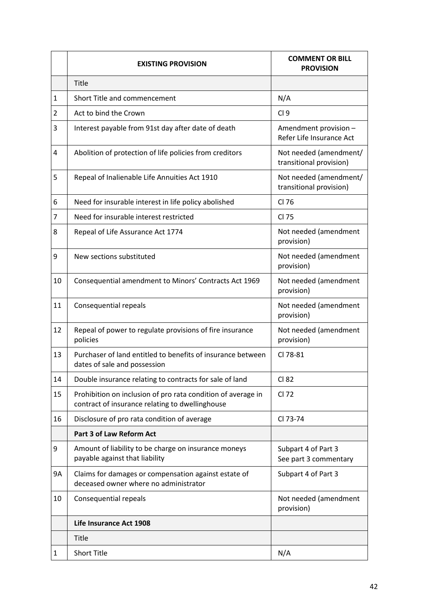|              | <b>EXISTING PROVISION</b>                                                                                       | <b>COMMENT OR BILL</b><br><b>PROVISION</b>        |
|--------------|-----------------------------------------------------------------------------------------------------------------|---------------------------------------------------|
|              | <b>Title</b>                                                                                                    |                                                   |
| $\mathbf{1}$ | Short Title and commencement                                                                                    | N/A                                               |
| 2            | Act to bind the Crown                                                                                           | CI <sub>9</sub>                                   |
| 3            | Interest payable from 91st day after date of death                                                              | Amendment provision -<br>Refer Life Insurance Act |
| 4            | Abolition of protection of life policies from creditors                                                         | Not needed (amendment/<br>transitional provision) |
| 5            | Repeal of Inalienable Life Annuities Act 1910                                                                   | Not needed (amendment/<br>transitional provision) |
| 6            | Need for insurable interest in life policy abolished                                                            | CI 76                                             |
| 7            | Need for insurable interest restricted                                                                          | CI 75                                             |
| 8            | Repeal of Life Assurance Act 1774                                                                               | Not needed (amendment<br>provision)               |
| 9            | New sections substituted                                                                                        | Not needed (amendment<br>provision)               |
| 10           | Consequential amendment to Minors' Contracts Act 1969                                                           | Not needed (amendment<br>provision)               |
| 11           | Consequential repeals                                                                                           | Not needed (amendment<br>provision)               |
| 12           | Repeal of power to regulate provisions of fire insurance<br>policies                                            | Not needed (amendment<br>provision)               |
| 13           | Purchaser of land entitled to benefits of insurance between<br>dates of sale and possession                     | CI 78-81                                          |
| 14           | Double insurance relating to contracts for sale of land                                                         | CI 82                                             |
| 15           | Prohibition on inclusion of pro rata condition of average in<br>contract of insurance relating to dwellinghouse | CI 72                                             |
| 16           | Disclosure of pro rata condition of average                                                                     | CI 73-74                                          |
|              | <b>Part 3 of Law Reform Act</b>                                                                                 |                                                   |
| 9            | Amount of liability to be charge on insurance moneys<br>payable against that liability                          | Subpart 4 of Part 3<br>See part 3 commentary      |
| 9A           | Claims for damages or compensation against estate of<br>deceased owner where no administrator                   | Subpart 4 of Part 3                               |
| 10           | Consequential repeals                                                                                           | Not needed (amendment<br>provision)               |
|              | Life Insurance Act 1908                                                                                         |                                                   |
|              | <b>Title</b>                                                                                                    |                                                   |
| 1            | <b>Short Title</b>                                                                                              | N/A                                               |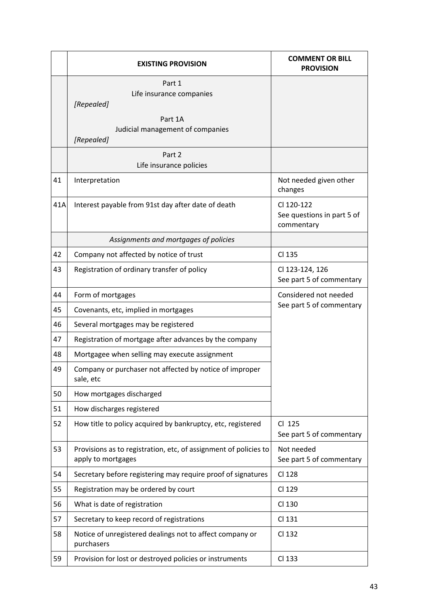|     | <b>EXISTING PROVISION</b>                                                              | <b>COMMENT OR BILL</b><br><b>PROVISION</b>             |
|-----|----------------------------------------------------------------------------------------|--------------------------------------------------------|
|     | Part 1<br>Life insurance companies<br>[Repealed]                                       |                                                        |
|     | Part 1A<br>Judicial management of companies<br>[Repealed]                              |                                                        |
|     | Part 2<br>Life insurance policies                                                      |                                                        |
| 41  | Interpretation                                                                         | Not needed given other<br>changes                      |
| 41A | Interest payable from 91st day after date of death                                     | CI 120-122<br>See questions in part 5 of<br>commentary |
|     | Assignments and mortgages of policies                                                  |                                                        |
| 42  | Company not affected by notice of trust                                                | CI 135                                                 |
| 43  | Registration of ordinary transfer of policy                                            | Cl 123-124, 126<br>See part 5 of commentary            |
| 44  | Form of mortgages                                                                      | Considered not needed                                  |
| 45  | Covenants, etc, implied in mortgages                                                   | See part 5 of commentary                               |
| 46  | Several mortgages may be registered                                                    |                                                        |
| 47  | Registration of mortgage after advances by the company                                 |                                                        |
| 48  | Mortgagee when selling may execute assignment                                          |                                                        |
| 49  | Company or purchaser not affected by notice of improper<br>sale, etc                   |                                                        |
| 50  | How mortgages discharged                                                               |                                                        |
| 51  | How discharges registered                                                              |                                                        |
| 52  | How title to policy acquired by bankruptcy, etc, registered                            | CI 125<br>See part 5 of commentary                     |
| 53  | Provisions as to registration, etc, of assignment of policies to<br>apply to mortgages | Not needed<br>See part 5 of commentary                 |
| 54  | Secretary before registering may require proof of signatures                           | CI 128                                                 |
| 55  | Registration may be ordered by court                                                   | CI 129                                                 |
| 56  | What is date of registration                                                           | CI 130                                                 |
| 57  | Secretary to keep record of registrations                                              | CI 131                                                 |
| 58  | Notice of unregistered dealings not to affect company or<br>purchasers                 | CI 132                                                 |
| 59  | Provision for lost or destroyed policies or instruments                                | CI 133                                                 |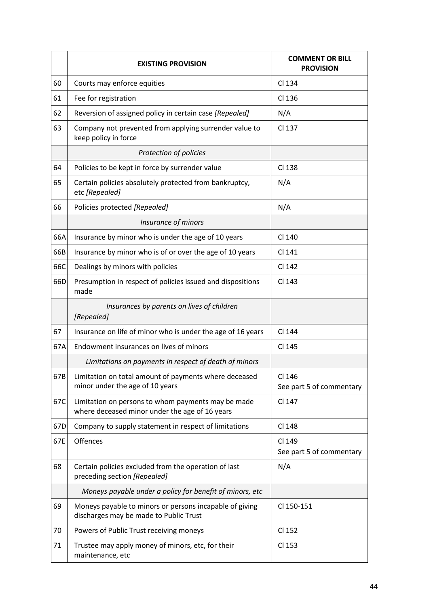|     | <b>EXISTING PROVISION</b>                                                                            | <b>COMMENT OR BILL</b><br><b>PROVISION</b> |
|-----|------------------------------------------------------------------------------------------------------|--------------------------------------------|
| 60  | Courts may enforce equities                                                                          | CI 134                                     |
| 61  | Fee for registration                                                                                 | CI 136                                     |
| 62  | Reversion of assigned policy in certain case [Repealed]                                              | N/A                                        |
| 63  | Company not prevented from applying surrender value to<br>keep policy in force                       | CI 137                                     |
|     | Protection of policies                                                                               |                                            |
| 64  | Policies to be kept in force by surrender value                                                      | CI 138                                     |
| 65  | Certain policies absolutely protected from bankruptcy,<br>etc [Repealed]                             | N/A                                        |
| 66  | Policies protected [Repealed]                                                                        | N/A                                        |
|     | Insurance of minors                                                                                  |                                            |
| 66A | Insurance by minor who is under the age of 10 years                                                  | CI 140                                     |
| 66B | Insurance by minor who is of or over the age of 10 years                                             | CI 141                                     |
| 66C | Dealings by minors with policies                                                                     | CI 142                                     |
| 66D | Presumption in respect of policies issued and dispositions<br>made                                   | CI 143                                     |
|     | Insurances by parents on lives of children<br>[Repealed]                                             |                                            |
| 67  | Insurance on life of minor who is under the age of 16 years                                          | CI 144                                     |
| 67A | Endowment insurances on lives of minors                                                              | CI 145                                     |
|     | Limitations on payments in respect of death of minors                                                |                                            |
| 67B | Limitation on total amount of payments where deceased<br>minor under the age of 10 years             | CI 146<br>See part 5 of commentary         |
| 67C | Limitation on persons to whom payments may be made<br>where deceased minor under the age of 16 years | CI 147                                     |
| 67D | Company to supply statement in respect of limitations                                                | CI 148                                     |
| 67E | Offences                                                                                             | CI 149<br>See part 5 of commentary         |
| 68  | Certain policies excluded from the operation of last<br>preceding section [Repealed]                 | N/A                                        |
|     | Moneys payable under a policy for benefit of minors, etc                                             |                                            |
| 69  | Moneys payable to minors or persons incapable of giving<br>discharges may be made to Public Trust    | CI 150-151                                 |
| 70  | Powers of Public Trust receiving moneys                                                              | CI 152                                     |
| 71  | Trustee may apply money of minors, etc, for their<br>maintenance, etc                                | CI 153                                     |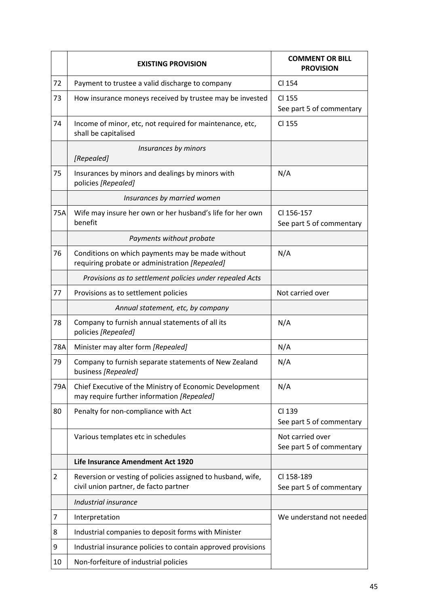|     | <b>EXISTING PROVISION</b>                                                                             | <b>COMMENT OR BILL</b><br><b>PROVISION</b>   |
|-----|-------------------------------------------------------------------------------------------------------|----------------------------------------------|
| 72  | Payment to trustee a valid discharge to company                                                       | CI 154                                       |
| 73  | How insurance moneys received by trustee may be invested                                              | CI 155<br>See part 5 of commentary           |
| 74  | Income of minor, etc, not required for maintenance, etc,<br>shall be capitalised                      | CI 155                                       |
|     | Insurances by minors<br>[Repealed]                                                                    |                                              |
| 75  | Insurances by minors and dealings by minors with<br>policies [Repealed]                               | N/A                                          |
|     | Insurances by married women                                                                           |                                              |
| 75A | Wife may insure her own or her husband's life for her own<br>benefit                                  | CI 156-157<br>See part 5 of commentary       |
|     | Payments without probate                                                                              |                                              |
| 76  | Conditions on which payments may be made without<br>requiring probate or administration [Repealed]    | N/A                                          |
|     | Provisions as to settlement policies under repealed Acts                                              |                                              |
| 77  | Provisions as to settlement policies                                                                  | Not carried over                             |
|     | Annual statement, etc, by company                                                                     |                                              |
| 78  | Company to furnish annual statements of all its<br>policies [Repealed]                                | N/A                                          |
| 78A | Minister may alter form [Repealed]                                                                    | N/A                                          |
| 79  | Company to furnish separate statements of New Zealand<br>business [Repealed]                          | N/A                                          |
| 79A | Chief Executive of the Ministry of Economic Development<br>may require further information [Repealed] | N/A                                          |
| 80  | Penalty for non-compliance with Act                                                                   | CI 139<br>See part 5 of commentary           |
|     | Various templates etc in schedules                                                                    | Not carried over<br>See part 5 of commentary |
|     | Life Insurance Amendment Act 1920                                                                     |                                              |
| 2   | Reversion or vesting of policies assigned to husband, wife,<br>civil union partner, de facto partner  | CI 158-189<br>See part 5 of commentary       |
|     | Industrial insurance                                                                                  |                                              |
| 7   | Interpretation                                                                                        | We understand not needed                     |
| 8   | Industrial companies to deposit forms with Minister                                                   |                                              |
| 9   | Industrial insurance policies to contain approved provisions                                          |                                              |
| 10  | Non-forfeiture of industrial policies                                                                 |                                              |